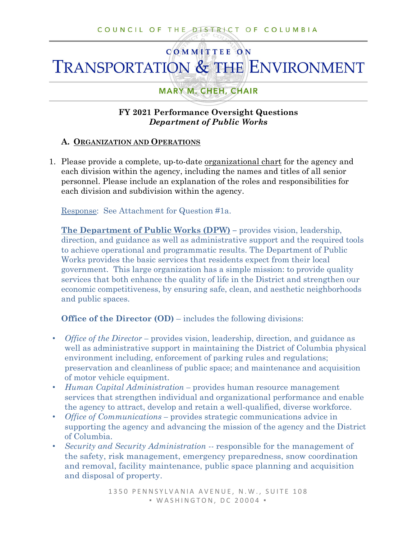# **COMMITTEE ON TRANSPORTATION & THE ENVIRONMENT**

# **MARY M. CHEH, CHAIR**

## **FY 2021 Performance Oversight Questions**  *Department of Public Works*

## **A. ORGANIZATION AND OPERATIONS**

1. Please provide a complete, up-to-date organizational chart for the agency and each division within the agency, including the names and titles of all senior personnel. Please include an explanation of the roles and responsibilities for each division and subdivision within the agency.

Response: See Attachment for Question #1a.

**The Department of Public Works (DPW) –** provides vision, leadership, direction, and guidance as well as administrative support and the required tools to achieve operational and programmatic results. The Department of Public Works provides the basic services that residents expect from their local government. This large organization has a simple mission: to provide quality services that both enhance the quality of life in the District and strengthen our economic competitiveness, by ensuring safe, clean, and aesthetic neighborhoods and public spaces.

**Office of the Director (OD)** – includes the following divisions:

- *Office of the Director –* provides vision, leadership, direction, and guidance as well as administrative support in maintaining the District of Columbia physical environment including, enforcement of parking rules and regulations; preservation and cleanliness of public space; and maintenance and acquisition of motor vehicle equipment.
- *Human Capital Administration –* provides human resource management services that strengthen individual and organizational performance and enable the agency to attract, develop and retain a well-qualified, diverse workforce.
- *Office of Communications –* provides strategic communications advice in supporting the agency and advancing the mission of the agency and the District of Columbia.
- *Security and Security Administration --* responsible for the management of the safety, risk management, emergency preparedness, snow coordination and removal, facility maintenance, public space planning and acquisition and disposal of property.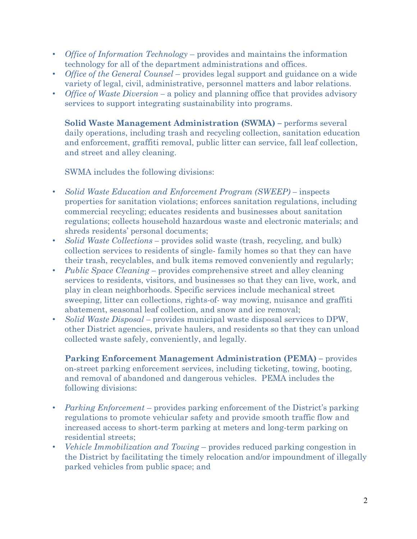- *Office of Information Technology*  provides and maintains the information technology for all of the department administrations and offices.
- *Office of the General Counsel* provides legal support and guidance on a wide variety of legal, civil, administrative, personnel matters and labor relations.
- *Office of Waste Diversion* a policy and planning office that provides advisory services to support integrating sustainability into programs.

**Solid Waste Management Administration (SWMA) –** performs several daily operations, including trash and recycling collection, sanitation education and enforcement, graffiti removal, public litter can service, fall leaf collection, and street and alley cleaning.

SWMA includes the following divisions:

- *Solid Waste Education and Enforcement Program (SWEEP) –* inspects properties for sanitation violations; enforces sanitation regulations, including commercial recycling; educates residents and businesses about sanitation regulations; collects household hazardous waste and electronic materials; and shreds residents' personal documents;
- *Solid Waste Collections* provides solid waste (trash, recycling, and bulk) collection services to residents of single- family homes so that they can have their trash, recyclables, and bulk items removed conveniently and regularly;
- *Public Space Cleaning –* provides comprehensive street and alley cleaning services to residents, visitors, and businesses so that they can live, work, and play in clean neighborhoods. Specific services include mechanical street sweeping, litter can collections, rights-of- way mowing, nuisance and graffiti abatement, seasonal leaf collection, and snow and ice removal;
- *Solid Waste Disposal –* provides municipal waste disposal services to DPW, other District agencies, private haulers, and residents so that they can unload collected waste safely, conveniently, and legally*.*

**Parking Enforcement Management Administration (PEMA) –** provides on-street parking enforcement services, including ticketing, towing, booting, and removal of abandoned and dangerous vehicles. PEMA includes the following divisions:

- *Parking Enforcement* provides parking enforcement of the District's parking regulations to promote vehicular safety and provide smooth traffic flow and increased access to short-term parking at meters and long-term parking on residential streets;
- *Vehicle Immobilization and Towing*  provides reduced parking congestion in the District by facilitating the timely relocation and/or impoundment of illegally parked vehicles from public space; and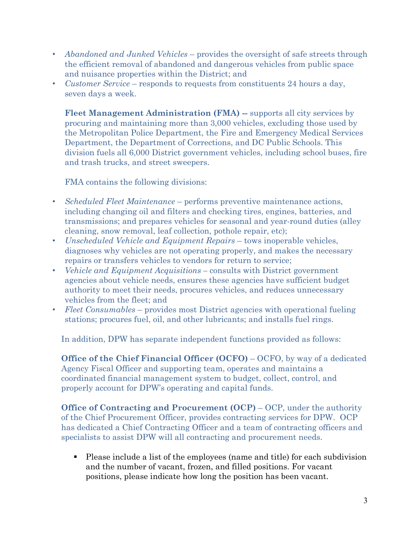- *Abandoned and Junked Vehicles*  provides the oversight of safe streets through the efficient removal of abandoned and dangerous vehicles from public space and nuisance properties within the District; and
- *Customer Service* responds to requests from constituents 24 hours a day, seven days a week.

**Fleet Management Administration (FMA)** -- supports all city services by procuring and maintaining more than 3,000 vehicles, excluding those used by the Metropolitan Police Department, the Fire and Emergency Medical Services Department, the Department of Corrections, and DC Public Schools. This division fuels all 6,000 District government vehicles, including school buses, fire and trash trucks, and street sweepers.

FMA contains the following divisions:

- *Scheduled Fleet Maintenance*  performs preventive maintenance actions, including changing oil and filters and checking tires, engines, batteries, and transmissions; and prepares vehicles for seasonal and year-round duties (alley cleaning, snow removal, leaf collection, pothole repair, etc);
- *Unscheduled Vehicle and Equipment Repairs* tows inoperable vehicles, diagnoses why vehicles are not operating properly, and makes the necessary repairs or transfers vehicles to vendors for return to service;
- *Vehicle and Equipment Acquisitions –* consults with District government agencies about vehicle needs, ensures these agencies have sufficient budget authority to meet their needs, procures vehicles, and reduces unnecessary vehicles from the fleet; and
- *Fleet Consumables*  provides most District agencies with operational fueling stations; procures fuel, oil, and other lubricants; and installs fuel rings.

In addition, DPW has separate independent functions provided as follows:

**Office of the Chief Financial Officer (OCFO)** – OCFO, by way of a dedicated Agency Fiscal Officer and supporting team, operates and maintains a coordinated financial management system to budget, collect, control, and properly account for DPW's operating and capital funds.

**Office of Contracting and Procurement (OCP)** – OCP, under the authority of the Chief Procurement Officer, provides contracting services for DPW. OCP has dedicated a Chief Contracting Officer and a team of contracting officers and specialists to assist DPW will all contracting and procurement needs.

 Please include a list of the employees (name and title) for each subdivision and the number of vacant, frozen, and filled positions. For vacant positions, please indicate how long the position has been vacant.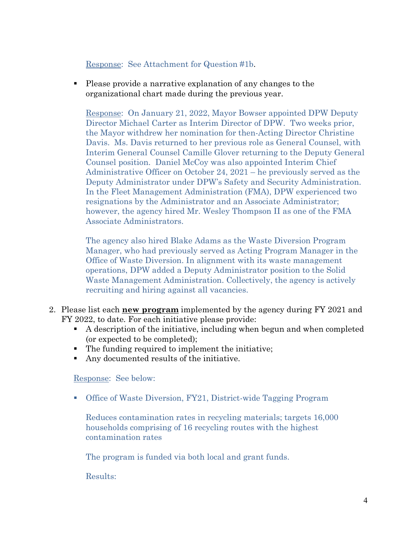## Response: See Attachment for Question #1b.

 Please provide a narrative explanation of any changes to the organizational chart made during the previous year.

Response: On January 21, 2022, Mayor Bowser appointed DPW Deputy Director Michael Carter as Interim Director of DPW. Two weeks prior, the Mayor withdrew her nomination for then-Acting Director Christine Davis. Ms. Davis returned to her previous role as General Counsel, with Interim General Counsel Camille Glover returning to the Deputy General Counsel position. Daniel McCoy was also appointed Interim Chief Administrative Officer on October 24, 2021 – he previously served as the Deputy Administrator under DPW's Safety and Security Administration. In the Fleet Management Administration (FMA), DPW experienced two resignations by the Administrator and an Associate Administrator; however, the agency hired Mr. Wesley Thompson II as one of the FMA Associate Administrators.

The agency also hired Blake Adams as the Waste Diversion Program Manager, who had previously served as Acting Program Manager in the Office of Waste Diversion. In alignment with its waste management operations, DPW added a Deputy Administrator position to the Solid Waste Management Administration. Collectively, the agency is actively recruiting and hiring against all vacancies.

- 2. Please list each **new program** implemented by the agency during FY 2021 and FY 2022, to date. For each initiative please provide:
	- A description of the initiative, including when begun and when completed (or expected to be completed);
	- The funding required to implement the initiative;
	- Any documented results of the initiative.

Response: See below:

Office of Waste Diversion, FY21, District-wide Tagging Program

Reduces contamination rates in recycling materials; targets 16,000 households comprising of 16 recycling routes with the highest contamination rates

The program is funded via both local and grant funds.

Results: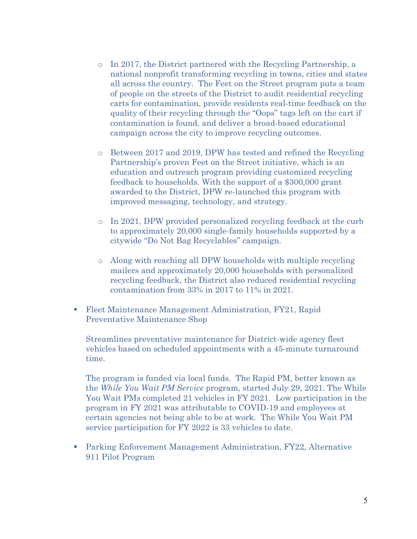- $\circ$  In 2017, the District partnered with the Recycling Partnership, a national nonprofit transforming recycling in towns, cities and states all across the country. The Feet on the Street program puts a team of people on the streets of the District to audit residential recycling carts for contamination, provide residents real-time feedback on the quality of their recycling through the "Oops" tags left on the cart if contamination is found, and deliver a broad-based educational campaign across the city to improve recycling outcomes.
- o Between 2017 and 2019, DPW has tested and refined the Recycling Partnership's proven Feet on the Street initiative, which is an education and outreach program providing customized recycling feedback to households. With the support of a \$300,000 grant awarded to the District, DPW re-launched this program with improved messaging, technology, and strategy.
- o In 2021, DPW provided personalized recycling feedback at the curb to approximately 20,000 single-family households supported by a citywide "Do Not Bag Recyclables" campaign.
- o Along with reaching all DPW households with multiple recycling mailers and approximately 20,000 households with personalized recycling feedback, the District also reduced residential recycling contamination from 33% in 2017 to 11% in 2021.
- Fleet Maintenance Management Administration, FY21, Rapid Preventative Maintenance Shop

Streamlines preventative maintenance for District-wide agency fleet vehicles based on scheduled appointments with a 45-minute turnaround time.

The program is funded via local funds. The Rapid PM, better known as the *While You Wait PM Service* program, started July 29, 2021. The While You Wait PMs completed 21 vehicles in FY 2021. Low participation in the program in FY 2021 was attributable to COVID-19 and employees at certain agencies not being able to be at work. The While You Wait PM service participation for FY 2022 is 33 vehicles to date.

 Parking Enforcement Management Administration, FY22, Alternative 911 Pilot Program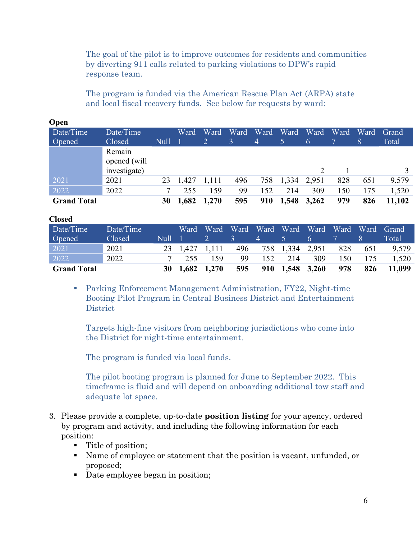The goal of the pilot is to improve outcomes for residents and communities by diverting 911 calls related to parking violations to DPW's rapid response team.

The program is funded via the American Rescue Plan Act (ARPA) state and local fiscal recovery funds. See below for requests by ward:

| $\mathbf{v}$ pose  |                        |             |       |       |      |                |       |       |      |      |        |
|--------------------|------------------------|-------------|-------|-------|------|----------------|-------|-------|------|------|--------|
| Date/Time          | Date/Time              |             | Ward  | Ward  | Ward | Ward           | Ward  | Ward  | Ward | Ward | Grand  |
| Opened             | Closed                 | <b>Null</b> |       |       | 3    | $\overline{4}$ | 5.    | 6     |      | ι8ι  | Total  |
|                    | Remain<br>opened (will |             |       |       |      |                |       |       |      |      |        |
|                    | investigate)           |             |       |       |      |                |       |       |      |      |        |
| 2021               | 2021                   | 23          | 1,427 | 1,111 | 496  | 758            | 1,334 | 2,951 | 828  | 651  | 9,579  |
| 2022               | 2022                   |             | 255   | 159   | 99   | 152            | 214   | 309   | 150  | 175  | 1,520  |
| <b>Grand Total</b> |                        | 30          | 1,682 | 1,270 | 595  | 910            | 1,548 | 3,262 | 979  | 826  | 11,102 |

# **Open**

| wwww               |           |        |                |                              |              |                                          |                 |     |     |     |        |
|--------------------|-----------|--------|----------------|------------------------------|--------------|------------------------------------------|-----------------|-----|-----|-----|--------|
| Date/Time          | Date/Time |        | Ward           |                              |              | Ward Ward Ward Ward Ward Ward Ward Grand |                 |     |     |     |        |
| <b>Opened</b>      | Closed    | Null 1 |                |                              | <sup>3</sup> | $\sim$ 4 $\sim$ $\sim$                   | $5 -$           | 6   |     |     | Total  |
| 2021               | 2021      |        | 23 1,427 1,111 |                              |              | 496 758 1,334 2,951                      |                 |     | 828 | 651 | 9.579  |
| 2022               | 2022      |        | 255            | 159                          | 99           | 152                                      | 214             | 309 | 150 | 175 | 1.520  |
| <b>Grand Total</b> |           |        |                | $30 \quad 1,682 \quad 1,270$ | 595          |                                          | 910 1,548 3,260 |     | 978 | 826 | 11,099 |

 Parking Enforcement Management Administration, FY22, Night-time Booting Pilot Program in Central Business District and Entertainment **District** 

Targets high-fine visitors from neighboring jurisdictions who come into the District for night-time entertainment.

The program is funded via local funds.

The pilot booting program is planned for June to September 2022. This timeframe is fluid and will depend on onboarding additional tow staff and adequate lot space.

- 3. Please provide a complete, up-to-date **position listing** for your agency, ordered by program and activity, and including the following information for each position:
	- Title of position;
	- Name of employee or statement that the position is vacant, unfunded, or proposed;
	- Date employee began in position;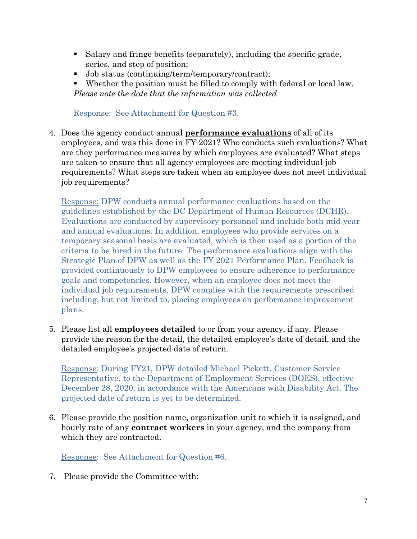- Salary and fringe benefits (separately), including the specific grade, series, and step of position;
- Job status (continuing/term/temporary/contract);
- Whether the position must be filled to comply with federal or local law. *Please note the date that the information was collected*

Response: See Attachment for Question #3.

4. Does the agency conduct annual **performance evaluations** of all of its employees, and was this done in FY 2021? Who conducts such evaluations? What are they performance measures by which employees are evaluated? What steps are taken to ensure that all agency employees are meeting individual job requirements? What steps are taken when an employee does not meet individual job requirements?

Response: DPW conducts annual performance evaluations based on the guidelines established by the DC Department of Human Resources (DCHR). Evaluations are conducted by supervisory personnel and include both mid-year and annual evaluations. In addition, employees who provide services on a temporary seasonal basis are evaluated, which is then used as a portion of the criteria to be hired in the future. The performance evaluations align with the Strategic Plan of DPW as well as the FY 2021 Performance Plan. Feedback is provided continuously to DPW employees to ensure adherence to performance goals and competencies. However, when an employee does not meet the individual job requirements, DPW complies with the requirements prescribed including, but not limited to, placing employees on performance improvement plans.

5. Please list all **employees detailed** to or from your agency, if any. Please provide the reason for the detail, the detailed employee's date of detail, and the detailed employee's projected date of return.

Response: During FY21, DPW detailed Michael Pickett, Customer Service Representative, to the Department of Employment Services (DOES), effective December 28, 2020, in accordance with the Americans with Disability Act. The projected date of return is yet to be determined.

6. Please provide the position name, organization unit to which it is assigned, and hourly rate of any **contract workers** in your agency, and the company from which they are contracted.

Response: See Attachment for Question #6.

7. Please provide the Committee with: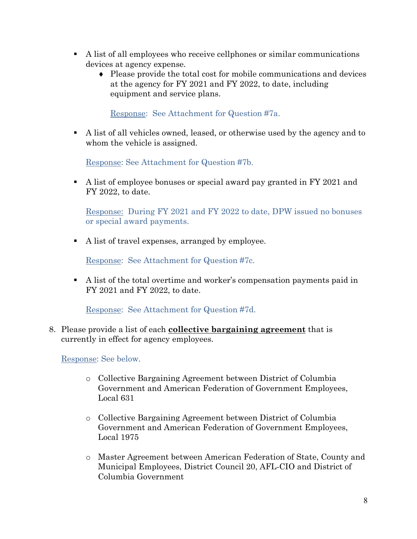- A list of all employees who receive cellphones or similar communications devices at agency expense.
	- ♦ Please provide the total cost for mobile communications and devices at the agency for FY 2021 and FY 2022, to date, including equipment and service plans.

Response: See Attachment for Question #7a.

 A list of all vehicles owned, leased, or otherwise used by the agency and to whom the vehicle is assigned.

Response: See Attachment for Question #7b.

A list of employee bonuses or special award pay granted in FY 2021 and FY 2022, to date.

Response: During FY 2021 and FY 2022 to date, DPW issued no bonuses or special award payments.

A list of travel expenses, arranged by employee.

Response: See Attachment for Question #7c.

 A list of the total overtime and worker's compensation payments paid in FY 2021 and FY 2022, to date.

Response: See Attachment for Question #7d.

8. Please provide a list of each **collective bargaining agreement** that is currently in effect for agency employees.

Response: See below.

- o Collective Bargaining Agreement between District of Columbia Government and American Federation of Government Employees, Local 631
- o Collective Bargaining Agreement between District of Columbia Government and American Federation of Government Employees, Local 1975
- o Master Agreement between American Federation of State, County and Municipal Employees, District Council 20, AFL-CIO and District of Columbia Government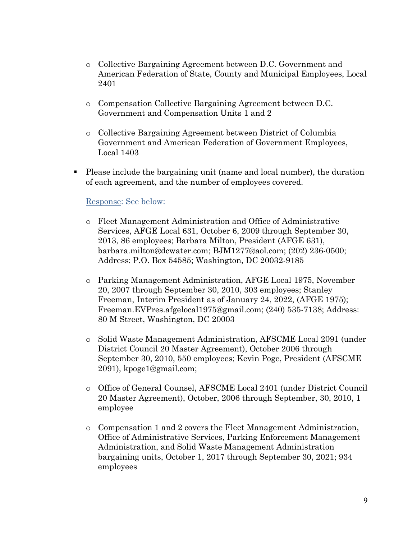- o Collective Bargaining Agreement between D.C. Government and American Federation of State, County and Municipal Employees, Local 2401
- o Compensation Collective Bargaining Agreement between D.C. Government and Compensation Units 1 and 2
- o Collective Bargaining Agreement between District of Columbia Government and American Federation of Government Employees, Local 1403
- Please include the bargaining unit (name and local number), the duration of each agreement, and the number of employees covered.

## Response: See below:

- o Fleet Management Administration and Office of Administrative Services, AFGE Local 631, October 6, 2009 through September 30, 2013, 86 employees; Barbara Milton, President (AFGE 631), barbara.milton@dcwater.com; BJM1277@aol.com; (202) 236-0500; Address: P.O. Box 54585; Washington, DC 20032-9185
- o Parking Management Administration, AFGE Local 1975, November 20, 2007 through September 30, 2010, 303 employees; Stanley Freeman, Interim President as of January 24, 2022, (AFGE 1975); Freeman.EVPres.afgelocal1975@gmail.com; (240) 535-7138; Address: 80 M Street, Washington, DC 20003
- o Solid Waste Management Administration, AFSCME Local 2091 (under District Council 20 Master Agreement), October 2006 through September 30, 2010, 550 employees; Kevin Poge, President (AFSCME 2091), kpoge1@gmail.com;
- o Office of General Counsel, AFSCME Local 2401 (under District Council 20 Master Agreement), October, 2006 through September, 30, 2010, 1 employee
- o Compensation 1 and 2 covers the Fleet Management Administration, Office of Administrative Services, Parking Enforcement Management Administration, and Solid Waste Management Administration bargaining units, October 1, 2017 through September 30, 2021; 934 employees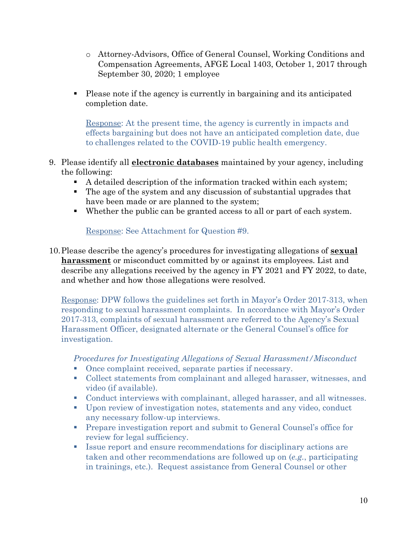- o Attorney-Advisors, Office of General Counsel, Working Conditions and Compensation Agreements, AFGE Local 1403, October 1, 2017 through September 30, 2020; 1 employee
- Please note if the agency is currently in bargaining and its anticipated completion date.

Response: At the present time, the agency is currently in impacts and effects bargaining but does not have an anticipated completion date, due to challenges related to the COVID-19 public health emergency.

- 9. Please identify all **electronic databases** maintained by your agency, including the following:
	- A detailed description of the information tracked within each system;
	- The age of the system and any discussion of substantial upgrades that have been made or are planned to the system;
	- Whether the public can be granted access to all or part of each system.

Response: See Attachment for Question #9.

10.Please describe the agency's procedures for investigating allegations of **sexual harassment** or misconduct committed by or against its employees. List and describe any allegations received by the agency in FY 2021 and FY 2022, to date, and whether and how those allegations were resolved.

Response: DPW follows the guidelines set forth in Mayor's Order 2017-313, when responding to sexual harassment complaints. In accordance with Mayor's Order 2017-313, complaints of sexual harassment are referred to the Agency's Sexual Harassment Officer, designated alternate or the General Counsel's office for investigation.

*Procedures for Investigating Allegations of Sexual Harassment/Misconduct* 

- Once complaint received, separate parties if necessary.
- Collect statements from complainant and alleged harasser, witnesses, and video (if available).
- Conduct interviews with complainant, alleged harasser, and all witnesses.
- Upon review of investigation notes, statements and any video, conduct any necessary follow-up interviews.
- **Prepare investigation report and submit to General Counsel's office for** review for legal sufficiency.
- Issue report and ensure recommendations for disciplinary actions are taken and other recommendations are followed up on (*e.g.*, participating in trainings, etc.). Request assistance from General Counsel or other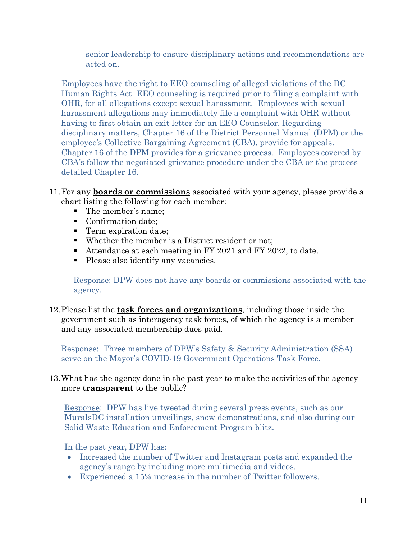senior leadership to ensure disciplinary actions and recommendations are acted on.

Employees have the right to EEO counseling of alleged violations of the DC Human Rights Act. EEO counseling is required prior to filing a complaint with OHR, for all allegations except sexual harassment. Employees with sexual harassment allegations may immediately file a complaint with OHR without having to first obtain an exit letter for an EEO Counselor. Regarding disciplinary matters, Chapter 16 of the District Personnel Manual (DPM) or the employee's Collective Bargaining Agreement (CBA), provide for appeals. Chapter 16 of the DPM provides for a grievance process. Employees covered by CBA's follow the negotiated grievance procedure under the CBA or the process detailed Chapter 16.

- 11.For any **boards or commissions** associated with your agency, please provide a chart listing the following for each member:
	- The member's name;
	- Confirmation date;
	- **Term expiration date;**
	- Whether the member is a District resident or not;
	- Attendance at each meeting in FY 2021 and FY 2022, to date.
	- Please also identify any vacancies.

Response: DPW does not have any boards or commissions associated with the agency.

12.Please list the **task forces and organizations**, including those inside the government such as interagency task forces, of which the agency is a member and any associated membership dues paid.

Response: Three members of DPW's Safety & Security Administration (SSA) serve on the Mayor's COVID-19 Government Operations Task Force.

## 13.What has the agency done in the past year to make the activities of the agency more **transparent** to the public?

Response: DPW has live tweeted during several press events, such as our MuralsDC installation unveilings, snow demonstrations, and also during our Solid Waste Education and Enforcement Program blitz.

In the past year, DPW has:

- Increased the number of Twitter and Instagram posts and expanded the agency's range by including more multimedia and videos.
- Experienced a 15% increase in the number of Twitter followers.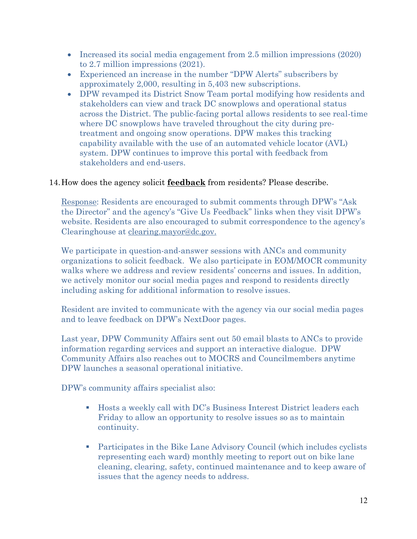- Increased its social media engagement from 2.5 million impressions (2020) to 2.7 million impressions (2021).
- Experienced an increase in the number "DPW Alerts" subscribers by approximately 2,000, resulting in 5,403 new subscriptions.
- DPW revamped its District Snow Team portal modifying how residents and stakeholders can view and track DC snowplows and operational status across the District. The public-facing portal allows residents to see real-time where DC snowplows have traveled throughout the city during pretreatment and ongoing snow operations. DPW makes this tracking capability available with the use of an automated vehicle locator (AVL) system. DPW continues to improve this portal with feedback from stakeholders and end-users.

## 14.How does the agency solicit **feedback** from residents? Please describe.

Response: Residents are encouraged to submit comments through DPW's "Ask the Director" and the agency's "Give Us Feedback" links when they visit DPW's website. Residents are also encouraged to submit correspondence to the agency's Clearinghouse at [clearing.mayor@dc.gov.](mailto:clearing.mayor@dc.gov)

We participate in question-and-answer sessions with ANCs and community organizations to solicit feedback. We also participate in EOM/MOCR community walks where we address and review residents' concerns and issues. In addition, we actively monitor our social media pages and respond to residents directly including asking for additional information to resolve issues.

Resident are invited to communicate with the agency via our social media pages and to leave feedback on DPW's NextDoor pages.

Last year, DPW Community Affairs sent out 50 email blasts to ANCs to provide information regarding services and support an interactive dialogue. DPW Community Affairs also reaches out to MOCRS and Councilmembers anytime DPW launches a seasonal operational initiative.

DPW's community affairs specialist also:

- Hosts a weekly call with DC's Business Interest District leaders each Friday to allow an opportunity to resolve issues so as to maintain continuity.
- Participates in the Bike Lane Advisory Council (which includes cyclists representing each ward) monthly meeting to report out on bike lane cleaning, clearing, safety, continued maintenance and to keep aware of issues that the agency needs to address.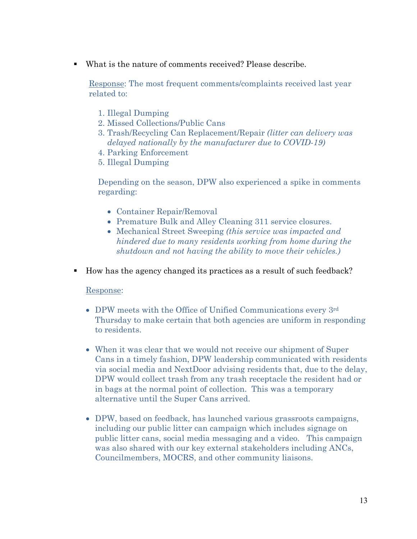What is the nature of comments received? Please describe.

Response: The most frequent comments/complaints received last year related to:

- 1. Illegal Dumping
- 2. Missed Collections/Public Cans
- 3. Trash/Recycling Can Replacement/Repair *(litter can delivery was delayed nationally by the manufacturer due to COVID-19)*
- 4. Parking Enforcement
- 5. Illegal Dumping

Depending on the season, DPW also experienced a spike in comments regarding:

- Container Repair/Removal
- Premature Bulk and Alley Cleaning 311 service closures.
- Mechanical Street Sweeping *(this service was impacted and hindered due to many residents working from home during the shutdown and not having the ability to move their vehicles.)*
- How has the agency changed its practices as a result of such feedback?

## Response:

- DPW meets with the Office of Unified Communications every 3rd Thursday to make certain that both agencies are uniform in responding to residents.
- When it was clear that we would not receive our shipment of Super Cans in a timely fashion, DPW leadership communicated with residents via social media and NextDoor advising residents that, due to the delay, DPW would collect trash from any trash receptacle the resident had or in bags at the normal point of collection. This was a temporary alternative until the Super Cans arrived.
- DPW, based on feedback, has launched various grassroots campaigns, including our public litter can campaign which includes signage on public litter cans, social media messaging and a video. This campaign was also shared with our key external stakeholders including ANCs, Councilmembers, MOCRS, and other community liaisons.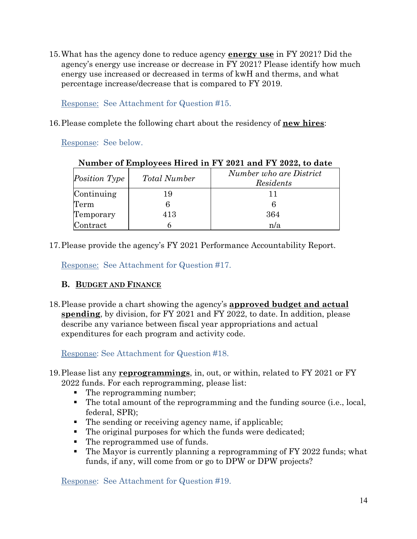15.What has the agency done to reduce agency **energy use** in FY 2021? Did the agency's energy use increase or decrease in FY 2021? Please identify how much energy use increased or decreased in terms of kwH and therms, and what percentage increase/decrease that is compared to FY 2019.

Response: See Attachment for Question #15.

16.Please complete the following chart about the residency of **new hires**:

Response: See below.

| Number of Employees Hired in FY 2021 and FY 2022, to date |                     |                                      |  |  |  |  |
|-----------------------------------------------------------|---------------------|--------------------------------------|--|--|--|--|
| <i>Position Type</i>                                      | <b>Total Number</b> | Number who are District<br>Residents |  |  |  |  |
| Continuing                                                | 19                  |                                      |  |  |  |  |
| Term                                                      |                     | 6                                    |  |  |  |  |
| Temporary                                                 | 413                 | 364                                  |  |  |  |  |
| Contract                                                  |                     | n/a                                  |  |  |  |  |

# **Number of Employees Hired in FY 2021 and FY 2022, to date**

17.Please provide the agency's FY 2021 Performance Accountability Report.

Response: See Attachment for Question #17.

## **B. BUDGET AND FINANCE**

18.Please provide a chart showing the agency's **approved budget and actual spending**, by division, for FY 2021 and FY 2022, to date. In addition, please describe any variance between fiscal year appropriations and actual expenditures for each program and activity code.

Response: See Attachment for Question #18.

- 19.Please list any **reprogrammings**, in, out, or within, related to FY 2021 or FY 2022 funds. For each reprogramming, please list:
	- The reprogramming number;
	- The total amount of the reprogramming and the funding source (i.e., local, federal, SPR);
	- The sending or receiving agency name, if applicable;
	- The original purposes for which the funds were dedicated;
	- The reprogrammed use of funds.
	- The Mayor is currently planning a reprogramming of FY 2022 funds; what funds, if any, will come from or go to DPW or DPW projects?

Response: See Attachment for Question #19.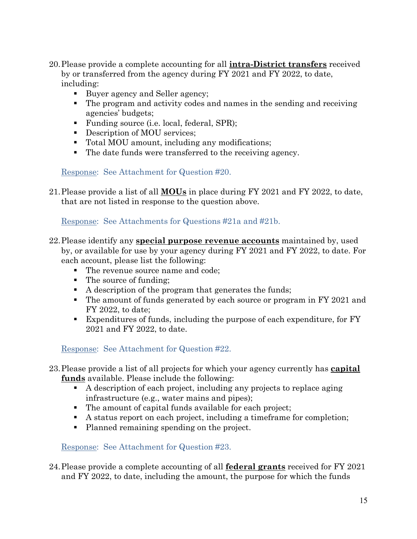- 20.Please provide a complete accounting for all **intra-District transfers** received by or transferred from the agency during FY 2021 and FY 2022, to date, including:
	- Buyer agency and Seller agency;
	- The program and activity codes and names in the sending and receiving agencies' budgets;
	- **Funding source (i.e. local, federal, SPR);**
	- Description of MOU services;
	- Total MOU amount, including any modifications;
	- The date funds were transferred to the receiving agency.

Response: See Attachment for Question #20.

21.Please provide a list of all **MOUs** in place during FY 2021 and FY 2022, to date, that are not listed in response to the question above.

Response: See Attachments for Questions #21a and #21b.

- 22.Please identify any **special purpose revenue accounts** maintained by, used by, or available for use by your agency during FY 2021 and FY 2022, to date. For each account, please list the following:
	- The revenue source name and code;
	- The source of funding;
	- $\blacksquare$  A description of the program that generates the funds;
	- The amount of funds generated by each source or program in FY 2021 and FY 2022, to date;
	- Expenditures of funds, including the purpose of each expenditure, for FY 2021 and FY 2022, to date.

Response: See Attachment for Question #22.

- 23.Please provide a list of all projects for which your agency currently has **capital funds** available. Please include the following:
	- A description of each project, including any projects to replace aging infrastructure (e.g., water mains and pipes);
	- The amount of capital funds available for each project;
	- A status report on each project, including a timeframe for completion;
	- Planned remaining spending on the project.

Response: See Attachment for Question #23.

24.Please provide a complete accounting of all **federal grants** received for FY 2021 and FY 2022, to date, including the amount, the purpose for which the funds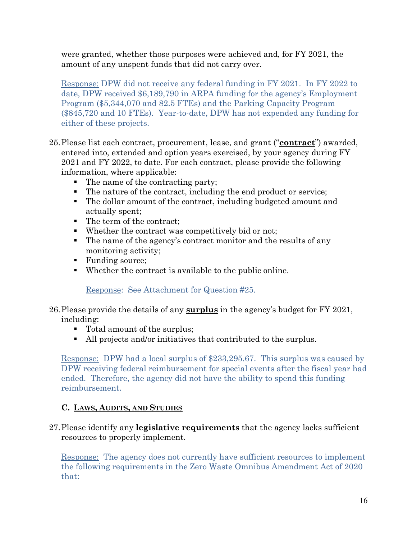were granted, whether those purposes were achieved and, for FY 2021, the amount of any unspent funds that did not carry over.

Response: DPW did not receive any federal funding in FY 2021. In FY 2022 to date, DPW received \$6,189,790 in ARPA funding for the agency's Employment Program (\$5,344,070 and 82.5 FTEs) and the Parking Capacity Program (\$845,720 and 10 FTEs). Year-to-date, DPW has not expended any funding for either of these projects.

- 25.Please list each contract, procurement, lease, and grant ("**contract**") awarded, entered into, extended and option years exercised, by your agency during FY 2021 and FY 2022, to date. For each contract, please provide the following information, where applicable:
	- The name of the contracting party;
	- The nature of the contract, including the end product or service;
	- The dollar amount of the contract, including budgeted amount and actually spent;
	- The term of the contract;
	- Whether the contract was competitively bid or not;
	- The name of the agency's contract monitor and the results of any monitoring activity;
	- Funding source;
	- Whether the contract is available to the public online.

Response: See Attachment for Question #25.

- 26.Please provide the details of any **surplus** in the agency's budget for FY 2021, including:
	- Total amount of the surplus;
	- All projects and/or initiatives that contributed to the surplus.

Response: DPW had a local surplus of \$233,295.67. This surplus was caused by DPW receiving federal reimbursement for special events after the fiscal year had ended. Therefore, the agency did not have the ability to spend this funding reimbursement.

## **C. LAWS, AUDITS, AND STUDIES**

27.Please identify any **legislative requirements** that the agency lacks sufficient resources to properly implement.

Response: The agency does not currently have sufficient resources to implement the following requirements in the Zero Waste Omnibus Amendment Act of 2020 that: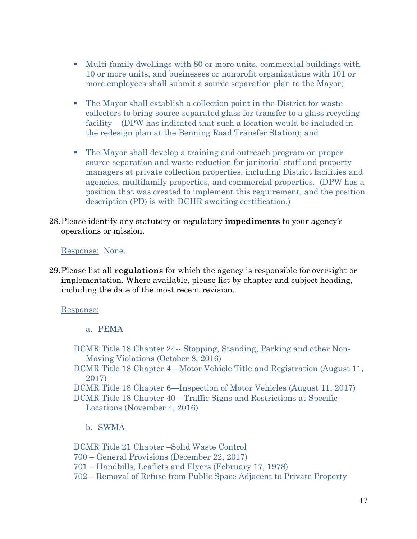- Multi-family dwellings with 80 or more units, commercial buildings with 10 or more units, and businesses or nonprofit organizations with 101 or more employees shall submit a source separation plan to the Mayor;
- The Mayor shall establish a collection point in the District for waste collectors to bring source-separated glass for transfer to a glass recycling facility – (DPW has indicated that such a location would be included in the redesign plan at the Benning Road Transfer Station); and
- The Mayor shall develop a training and outreach program on proper source separation and waste reduction for janitorial staff and property managers at private collection properties, including District facilities and agencies, multifamily properties, and commercial properties. (DPW has a position that was created to implement this requirement, and the position description (PD) is with DCHR awaiting certification.)
- 28.Please identify any statutory or regulatory **impediments** to your agency's operations or mission.

Response: None.

29.Please list all **regulations** for which the agency is responsible for oversight or implementation. Where available, please list by chapter and subject heading, including the date of the most recent revision.

Response:

a. PEMA

- DCMR Title 18 Chapter 24-- Stopping, Standing, Parking and other Non-Moving Violations (October 8, 2016)
- DCMR Title 18 Chapter 4—Motor Vehicle Title and Registration (August 11, 2017)

DCMR Title 18 Chapter 6—Inspection of Motor Vehicles (August 11, 2017) DCMR Title 18 Chapter 40—Traffic Signs and Restrictions at Specific Locations (November 4, 2016)

b. SWMA

DCMR Title 21 Chapter –Solid Waste Control 700 – General Provisions (December 22, 2017) 701 – Handbills, Leaflets and Flyers (February 17, 1978) 702 – Removal of Refuse from Public Space Adjacent to Private Property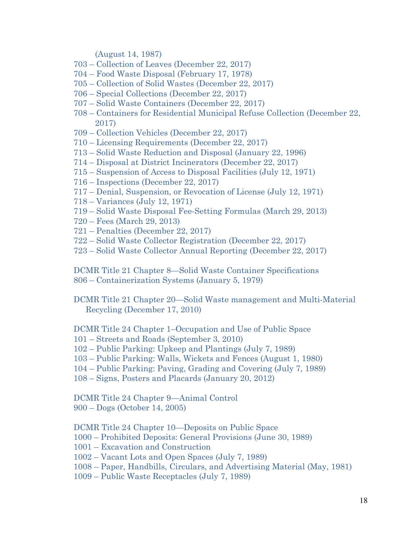(August 14, 1987)

- 703 Collection of Leaves (December 22, 2017)
- 704 Food Waste Disposal (February 17, 1978)
- 705 Collection of Solid Wastes (December 22, 2017)
- 706 Special Collections (December 22, 2017)
- 707 Solid Waste Containers (December 22, 2017)
- 708 Containers for Residential Municipal Refuse Collection (December 22, 2017)
- 709 Collection Vehicles (December 22, 2017)
- 710 Licensing Requirements (December 22, 2017)
- 713 Solid Waste Reduction and Disposal (January 22, 1996)
- 714 Disposal at District Incinerators (December 22, 2017)
- 715 Suspension of Access to Disposal Facilities (July 12, 1971)
- 716 Inspections (December 22, 2017)
- 717 Denial, Suspension, or Revocation of License (July 12, 1971)
- 718 Variances (July 12, 1971)
- 719 Solid Waste Disposal Fee-Setting Formulas (March 29, 2013)
- 720 Fees (March 29, 2013)
- 721 Penalties (December 22, 2017)
- 722 Solid Waste Collector Registration (December 22, 2017)
- 723 Solid Waste Collector Annual Reporting (December 22, 2017)

DCMR Title 21 Chapter 8—Solid Waste Container Specifications 806 – Containerization Systems (January 5, 1979)

DCMR Title 21 Chapter 20—Solid Waste management and Multi-Material Recycling (December 17, 2010)

DCMR Title 24 Chapter 1–Occupation and Use of Public Space

101 – Streets and Roads (September 3, 2010)

102 – Public Parking: Upkeep and Plantings (July 7, 1989)

- 103 Public Parking: Walls, Wickets and Fences (August 1, 1980)
- 104 Public Parking: Paving, Grading and Covering (July 7, 1989)
- 108 Signs, Posters and Placards (January 20, 2012)

DCMR Title 24 Chapter 9—Animal Control 900 – Dogs (October 14, 2005)

DCMR Title 24 Chapter 10—Deposits on Public Space

1000 – Prohibited Deposits: General Provisions (June 30, 1989)

1001 – Excavation and Construction

1002 – Vacant Lots and Open Spaces (July 7, 1989)

1008 – Paper, Handbills, Circulars, and Advertising Material (May, 1981)

1009 – Public Waste Receptacles (July 7, 1989)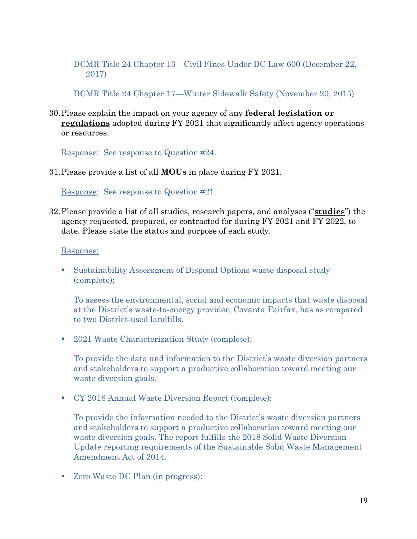## DCMR Title 24 Chapter 13—Civil Fines Under DC Law 600 (December 22, 2017)

DCMR Title 24 Chapter 17—Winter Sidewalk Safety (November 20, 2015)

30.Please explain the impact on your agency of any **federal legislation or regulations** adopted during FY 2021 that significantly affect agency operations or resources.

Response: See response to Question #24.

31.Please provide a list of all **MOUs** in place during FY 2021.

Response: See response to Question #21.

32.Please provide a list of all studies, research papers, and analyses ("**studies**") the agency requested, prepared, or contracted for during FY 2021 and FY 2022, to date. Please state the status and purpose of each study.

Response:

 Sustainability Assessment of Disposal Options waste disposal study (complete);

To assess the environmental, social and economic impacts that waste disposal at the District's waste-to-energy provider, Covanta Fairfax, has as compared to two District-used landfills.

■ 2021 Waste Characterization Study (complete);

To provide the data and information to the District's waste diversion partners and stakeholders to support a productive collaboration toward meeting our waste diversion goals.

CY 2018 Annual Waste Diversion Report (complete):

To provide the information needed to the District's waste diversion partners and stakeholders to support a productive collaboration toward meeting our waste diversion goals. The report fulfills the 2018 Solid Waste Diversion Update reporting requirements of the Sustainable Solid Waste Management Amendment Act of 2014.

■ Zero Waste DC Plan (in progress):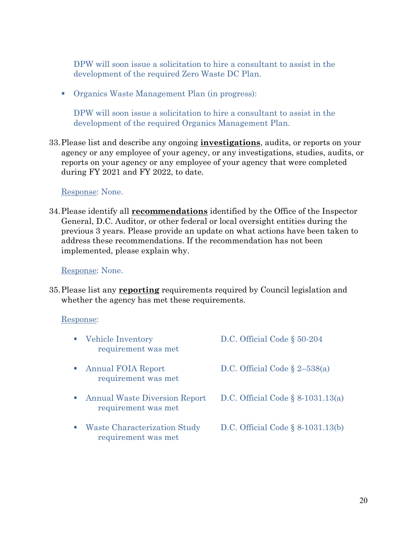DPW will soon issue a solicitation to hire a consultant to assist in the development of the required Zero Waste DC Plan.

Organics Waste Management Plan (in progress):

DPW will soon issue a solicitation to hire a consultant to assist in the development of the required Organics Management Plan.

33.Please list and describe any ongoing **investigations**, audits, or reports on your agency or any employee of your agency, or any investigations, studies, audits, or reports on your agency or any employee of your agency that were completed during FY 2021 and FY 2022, to date.

Response: None.

34.Please identify all **recommendations** identified by the Office of the Inspector General, D.C. Auditor, or other federal or local oversight entities during the previous 3 years. Please provide an update on what actions have been taken to address these recommendations. If the recommendation has not been implemented, please explain why.

Response: None.

35.Please list any **reporting** requirements required by Council legislation and whether the agency has met these requirements.

#### Response:

|     | Vehicle Inventory<br>requirement was met                    | D.C. Official Code $\S 50-204$       |
|-----|-------------------------------------------------------------|--------------------------------------|
|     | <b>Annual FOIA Report</b><br>requirement was met            | D.C. Official Code $\S 2-538(a)$     |
| a a | <b>Annual Waste Diversion Report</b><br>requirement was met | D.C. Official Code $\S$ 8-1031.13(a) |
|     | Waste Characterization Study<br>requirement was met         | D.C. Official Code $\S$ 8-1031.13(b) |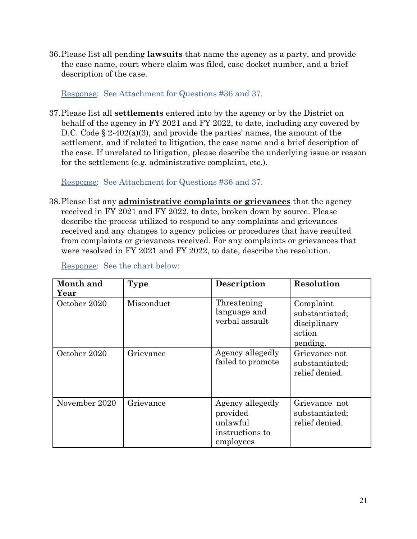36.Please list all pending **lawsuits** that name the agency as a party, and provide the case name, court where claim was filed, case docket number, and a brief description of the case.

Response: See Attachment for Questions #36 and 37.

37.Please list all **settlements** entered into by the agency or by the District on behalf of the agency in FY 2021 and FY 2022, to date, including any covered by D.C. Code  $\S 2-402(a)(3)$ , and provide the parties' names, the amount of the settlement, and if related to litigation, the case name and a brief description of the case. If unrelated to litigation, please describe the underlying issue or reason for the settlement (e.g. administrative complaint, etc.).

Response: See Attachment for Questions #36 and 37.

38.Please list any **administrative complaints or grievances** that the agency received in FY 2021 and FY 2022, to date, broken down by source. Please describe the process utilized to respond to any complaints and grievances received and any changes to agency policies or procedures that have resulted from complaints or grievances received. For any complaints or grievances that were resolved in FY 2021 and FY 2022, to date, describe the resolution.

| Month and<br>Year | Type       | Description                                                              | Resolution                                                        |
|-------------------|------------|--------------------------------------------------------------------------|-------------------------------------------------------------------|
| October 2020      | Misconduct | Threatening<br>language and<br>verbal assault                            | Complaint<br>substantiated;<br>disciplinary<br>action<br>pending. |
| October 2020      | Grievance  | Agency allegedly<br>failed to promote                                    | Grievance not<br>substantiated;<br>relief denied.                 |
| November 2020     | Grievance  | Agency allegedly<br>provided<br>unlawful<br>instructions to<br>employees | Grievance not<br>substantiated;<br>relief denied.                 |

Response: See the chart below: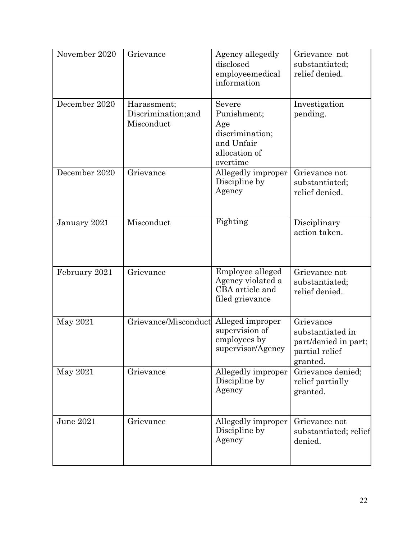| November 2020 | Grievance                                        | Agency allegedly<br>disclosed<br>employeemedical<br>information                            | Grievance not<br>substantiated;<br>relief denied.                                   |
|---------------|--------------------------------------------------|--------------------------------------------------------------------------------------------|-------------------------------------------------------------------------------------|
| December 2020 | Harassment;<br>Discrimination; and<br>Misconduct | Severe<br>Punishment;<br>Age<br>discrimination;<br>and Unfair<br>allocation of<br>overtime | Investigation<br>pending.                                                           |
| December 2020 | Grievance                                        | Allegedly improper<br>Discipline by<br>Agency                                              | Grievance not<br>substantiated;<br>relief denied.                                   |
| January 2021  | Misconduct                                       | Fighting                                                                                   | Disciplinary<br>action taken.                                                       |
| February 2021 | Grievance                                        | Employee alleged<br>Agency violated a<br>CBA article and<br>filed grievance                | Grievance not<br>substantiated;<br>relief denied.                                   |
| May 2021      | Grievance/Misconduct                             | Alleged improper<br>supervision of<br>employees by<br>supervisor/Agency                    | Grievance<br>substantiated in<br>part/denied in part;<br>partial relief<br>granted. |
| May 2021      | Grievance                                        | Allegedly improper<br>Discipline by<br>Agency                                              | Grievance denied;<br>relief partially<br>granted.                                   |
| June 2021     | Grievance                                        | Allegedly improper<br>Discipline by<br>Agency                                              | Grievance not<br>substantiated; relief<br>denied.                                   |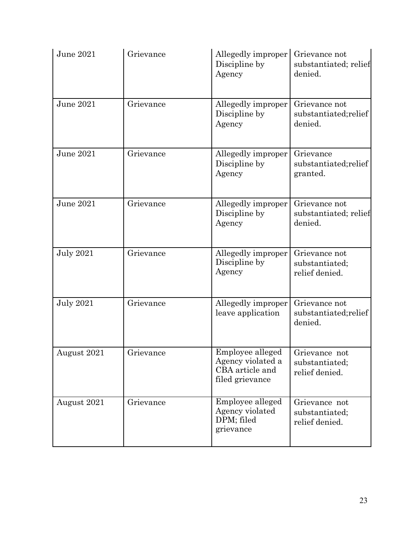| June 2021        | Grievance | Allegedly improper<br>Discipline by<br>Agency                               | Grievance not<br>substantiated; relief<br>denied. |
|------------------|-----------|-----------------------------------------------------------------------------|---------------------------------------------------|
| June 2021        | Grievance | Allegedly improper<br>Discipline by<br>Agency                               | Grievance not<br>substantiated; relief<br>denied. |
| June 2021        | Grievance | Allegedly improper<br>Discipline by<br>Agency                               | Grievance<br>substantiated; relief<br>granted.    |
| <b>June 2021</b> | Grievance | Allegedly improper<br>Discipline by<br>Agency                               | Grievance not<br>substantiated; relief<br>denied. |
| <b>July 2021</b> | Grievance | Allegedly improper<br>Discipline by<br>Agency                               | Grievance not<br>substantiated;<br>relief denied. |
| <b>July 2021</b> | Grievance | Allegedly improper<br>leave application                                     | Grievance not<br>substantiated; relief<br>denied. |
| August 2021      | Grievance | Employee alleged<br>Agency violated a<br>CBA article and<br>filed grievance | Grievance not<br>substantiated;<br>relief denied. |
| August 2021      | Grievance | Employee alleged<br>Agency violated<br>DPM; filed<br>grievance              | Grievance not<br>substantiated;<br>relief denied. |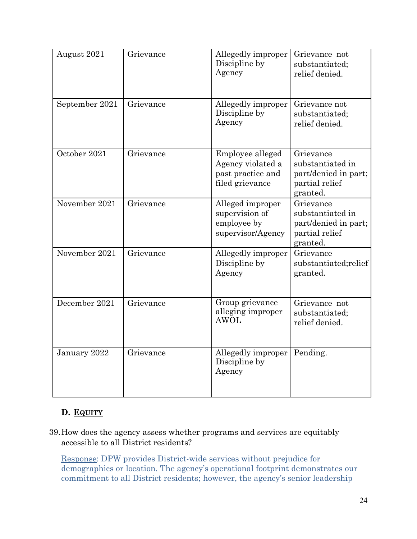| August 2021    | Grievance | Allegedly improper<br>Discipline by<br>Agency                                 | Grievance not<br>substantiated;<br>relief denied.                                   |
|----------------|-----------|-------------------------------------------------------------------------------|-------------------------------------------------------------------------------------|
| September 2021 | Grievance | Allegedly improper<br>Discipline by<br>Agency                                 | Grievance not<br>substantiated;<br>relief denied.                                   |
| October 2021   | Grievance | Employee alleged<br>Agency violated a<br>past practice and<br>filed grievance | Grievance<br>substantiated in<br>part/denied in part;<br>partial relief<br>granted. |
| November 2021  | Grievance | Alleged improper<br>supervision of<br>employee by<br>supervisor/Agency        | Grievance<br>substantiated in<br>part/denied in part;<br>partial relief<br>granted. |
| November 2021  | Grievance | Allegedly improper<br>Discipline by<br>Agency                                 | Grievance<br>substantiated; relief<br>granted.                                      |
| December 2021  | Grievance | Group grievance<br>alleging improper<br><b>AWOL</b>                           | Grievance not<br>substantiated;<br>relief denied.                                   |
| January 2022   | Grievance | Allegedly improper<br>Discipline by<br>Agency                                 | Pending.                                                                            |

## **D. EQUITY**

39.How does the agency assess whether programs and services are equitably accessible to all District residents?

Response: DPW provides District-wide services without prejudice for demographics or location. The agency's operational footprint demonstrates our commitment to all District residents; however, the agency's senior leadership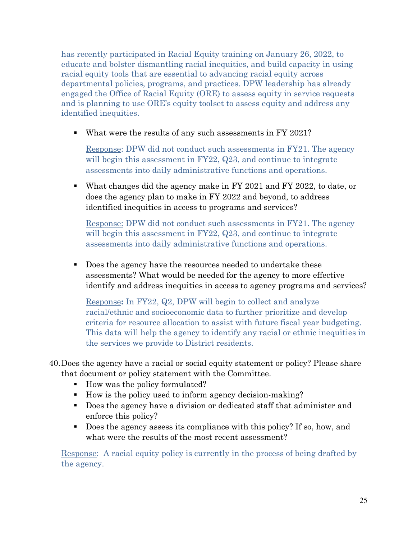has recently participated in Racial Equity training on January 26, 2022, to educate and bolster dismantling racial inequities, and build capacity in using racial equity tools that are essential to advancing racial equity across departmental policies, programs, and practices. DPW leadership has already engaged the Office of Racial Equity (ORE) to assess equity in service requests and is planning to use ORE's equity toolset to assess equity and address any identified inequities.

What were the results of any such assessments in FY 2021?

Response: DPW did not conduct such assessments in FY21. The agency will begin this assessment in FY22, Q23, and continue to integrate assessments into daily administrative functions and operations.

 What changes did the agency make in FY 2021 and FY 2022, to date, or does the agency plan to make in FY 2022 and beyond, to address identified inequities in access to programs and services?

Response: DPW did not conduct such assessments in FY21. The agency will begin this assessment in FY22, Q23, and continue to integrate assessments into daily administrative functions and operations.

Does the agency have the resources needed to undertake these assessments? What would be needed for the agency to more effective identify and address inequities in access to agency programs and services?

Response**:** In FY22, Q2, DPW will begin to collect and analyze racial/ethnic and socioeconomic data to further prioritize and develop criteria for resource allocation to assist with future fiscal year budgeting. This data will help the agency to identify any racial or ethnic inequities in the services we provide to District residents.

- 40.Does the agency have a racial or social equity statement or policy? Please share that document or policy statement with the Committee.
	- How was the policy formulated?
	- How is the policy used to inform agency decision-making?
	- Does the agency have a division or dedicated staff that administer and enforce this policy?
	- Does the agency assess its compliance with this policy? If so, how, and what were the results of the most recent assessment?

Response: A racial equity policy is currently in the process of being drafted by the agency.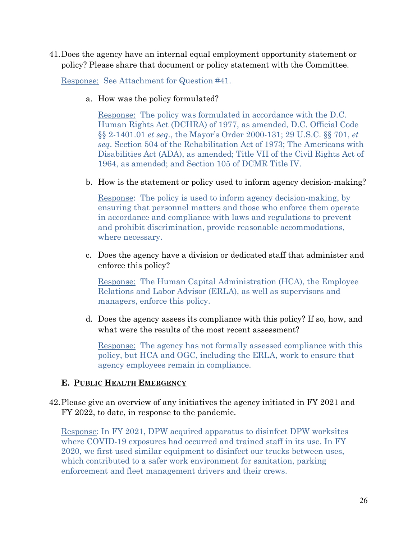41.Does the agency have an internal equal employment opportunity statement or policy? Please share that document or policy statement with the Committee.

Response: See Attachment for Question #41.

a. How was the policy formulated?

Response: The policy was formulated in accordance with the D.C. Human Rights Act (DCHRA) of 1977, as amended, D.C. Official Code §§ 2-1401.01 *et seq*., the Mayor's Order 2000-131; 29 U.S.C. §§ 701, *et seq*. Section 504 of the Rehabilitation Act of 1973; The Americans with Disabilities Act (ADA), as amended; Title VII of the Civil Rights Act of 1964, as amended; and Section 105 of DCMR Title IV.

b. How is the statement or policy used to inform agency decision-making?

Response: The policy is used to inform agency decision-making, by ensuring that personnel matters and those who enforce them operate in accordance and compliance with laws and regulations to prevent and prohibit discrimination, provide reasonable accommodations, where necessary.

c. Does the agency have a division or dedicated staff that administer and enforce this policy?

Response: The Human Capital Administration (HCA), the Employee Relations and Labor Advisor (ERLA), as well as supervisors and managers, enforce this policy.

d. Does the agency assess its compliance with this policy? If so, how, and what were the results of the most recent assessment?

Response: The agency has not formally assessed compliance with this policy, but HCA and OGC, including the ERLA, work to ensure that agency employees remain in compliance.

## **E. PUBLIC HEALTH EMERGENCY**

42.Please give an overview of any initiatives the agency initiated in FY 2021 and FY 2022, to date, in response to the pandemic.

Response: In FY 2021, DPW acquired apparatus to disinfect DPW worksites where COVID-19 exposures had occurred and trained staff in its use. In FY 2020, we first used similar equipment to disinfect our trucks between uses, which contributed to a safer work environment for sanitation, parking enforcement and fleet management drivers and their crews.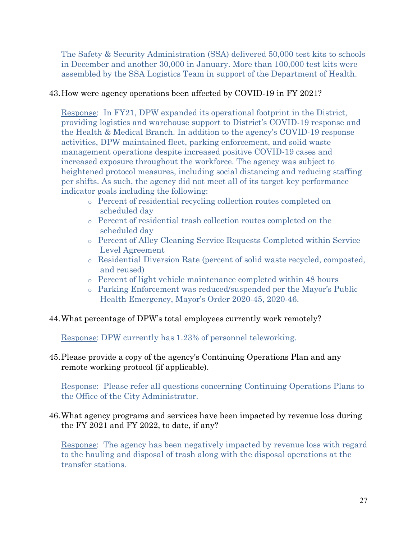The Safety & Security Administration (SSA) delivered 50,000 test kits to schools in December and another 30,000 in January. More than 100,000 test kits were assembled by the SSA Logistics Team in support of the Department of Health.

## 43.How were agency operations been affected by COVID-19 in FY 2021?

Response: In FY21, DPW expanded its operational footprint in the District, providing logistics and warehouse support to District's COVID-19 response and the Health & Medical Branch. In addition to the agency's COVID-19 response activities, DPW maintained fleet, parking enforcement, and solid waste management operations despite increased positive COVID-19 cases and increased exposure throughout the workforce. The agency was subject to heightened protocol measures, including social distancing and reducing staffing per shifts. As such, the agency did not meet all of its target key performance indicator goals including the following:

- o Percent of residential recycling collection routes completed on scheduled day
- o Percent of residential trash collection routes completed on the scheduled day
- o Percent of Alley Cleaning Service Requests Completed within Service Level Agreement
- o Residential Diversion Rate (percent of solid waste recycled, composted, and reused)
- o Percent of light vehicle maintenance completed within 48 hours
- o Parking Enforcement was reduced/suspended per the Mayor's Public Health Emergency, Mayor's Order 2020-45, 2020-46.
- 44.What percentage of DPW's total employees currently work remotely?

Response: DPW currently has 1.23% of personnel teleworking.

45.Please provide a copy of the agency's Continuing Operations Plan and any remote working protocol (if applicable).

Response: Please refer all questions concerning Continuing Operations Plans to the Office of the City Administrator.

46.What agency programs and services have been impacted by revenue loss during the FY 2021 and FY 2022, to date, if any?

Response: The agency has been negatively impacted by revenue loss with regard to the hauling and disposal of trash along with the disposal operations at the transfer stations.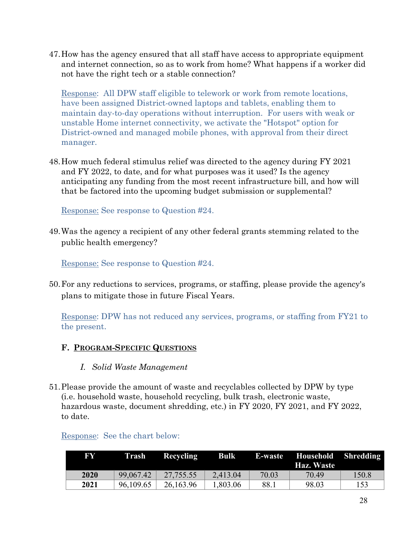47.How has the agency ensured that all staff have access to appropriate equipment and internet connection, so as to work from home? What happens if a worker did not have the right tech or a stable connection?

Response: All DPW staff eligible to telework or work from remote locations, have been assigned District-owned laptops and tablets, enabling them to maintain day-to-day operations without interruption. For users with weak or unstable Home internet connectivity, we activate the "Hotspot" option for District-owned and managed mobile phones, with approval from their direct manager.

48.How much federal stimulus relief was directed to the agency during FY 2021 and FY 2022, to date, and for what purposes was it used? Is the agency anticipating any funding from the most recent infrastructure bill, and how will that be factored into the upcoming budget submission or supplemental?

Response: See response to Question #24.

49.Was the agency a recipient of any other federal grants stemming related to the public health emergency?

Response: See response to Question #24.

50.For any reductions to services, programs, or staffing, please provide the agency's plans to mitigate those in future Fiscal Years.

Response: DPW has not reduced any services, programs, or staffing from FY21 to the present.

## **F. PROGRAM-SPECIFIC QUESTIONS**

- *I. Solid Waste Management*
- 51.Please provide the amount of waste and recyclables collected by DPW by type (i.e. household waste, household recycling, bulk trash, electronic waste, hazardous waste, document shredding, etc.) in FY 2020, FY 2021, and FY 2022, to date.

| FY   | Trash     | Recycling | <b>Bulk</b> |       | E-waste Household Shredding<br>Haz. Waste |       |
|------|-----------|-----------|-------------|-------|-------------------------------------------|-------|
| 2020 | 99,067.42 | 27,755.55 | 2,413.04    | 70.03 | 70.49                                     | 150.8 |
| 2021 | 96,109.65 | 26,163.96 | 1,803.06    | 88.1  | 98.03                                     | 153   |

## Response: See the chart below: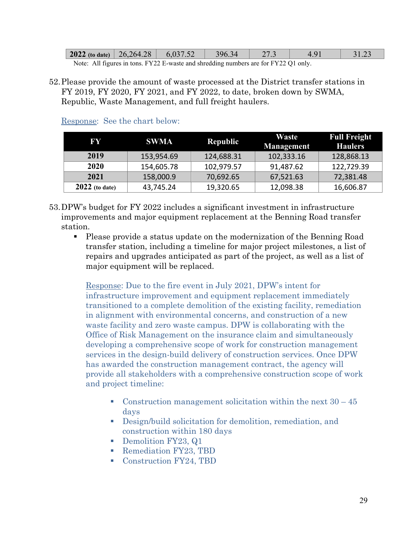| $\vert$ 2022 (to date) $\vert$                                                                       | 26,264.28 | 6,037.52 | 396.34 | 21.3 |  | 31.Z* |
|------------------------------------------------------------------------------------------------------|-----------|----------|--------|------|--|-------|
| Note: All figures in tons, $\text{EV22 E}$ waste and shredding numbers are for $\text{EV22 O1}$ only |           |          |        |      |  |       |

- s in tons. FY22 E-waste and shredding numbers are for FY22 Q1 only.
- 52.Please provide the amount of waste processed at the District transfer stations in FY 2019, FY 2020, FY 2021, and FY 2022, to date, broken down by SWMA, Republic, Waste Management, and full freight haulers.

| FY               | <b>SWMA</b> | <b>Republic</b> | Waste<br><b>Management</b> | <b>Full Freight</b><br><b>Haulers</b> |
|------------------|-------------|-----------------|----------------------------|---------------------------------------|
| 2019             | 153,954.69  | 124,688.31      | 102,333.16                 | 128,868.13                            |
| 2020             | 154,605.78  | 102,979.57      | 91,487.62                  | 122,729.39                            |
| 2021             | 158,000.9   | 70,692.65       | 67,521.63                  | 72,381.48                             |
| $2022$ (to date) | 43,745.24   | 19,320.65       | 12,098.38                  | 16,606.87                             |

#### Response: See the chart below:

- 53.DPW's budget for FY 2022 includes a significant investment in infrastructure improvements and major equipment replacement at the Benning Road transfer station.
	- Please provide a status update on the modernization of the Benning Road transfer station, including a timeline for major project milestones, a list of repairs and upgrades anticipated as part of the project, as well as a list of major equipment will be replaced.

Response: Due to the fire event in July 2021, DPW's intent for infrastructure improvement and equipment replacement immediately transitioned to a complete demolition of the existing facility, remediation in alignment with environmental concerns, and construction of a new waste facility and zero waste campus. DPW is collaborating with the Office of Risk Management on the insurance claim and simultaneously developing a comprehensive scope of work for construction management services in the design-build delivery of construction services. Once DPW has awarded the construction management contract, the agency will provide all stakeholders with a comprehensive construction scope of work and project timeline:

- Construction management solicitation within the next  $30 45$ days
- Design/build solicitation for demolition, remediation, and construction within 180 days
- Demolition FY23, Q1
- Remediation FY23, TBD
- Construction FY24, TBD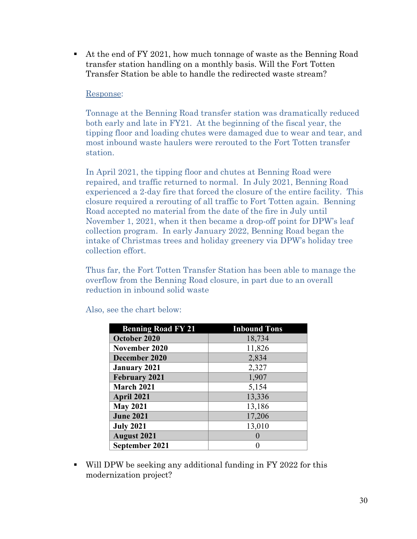At the end of FY 2021, how much tonnage of waste as the Benning Road transfer station handling on a monthly basis. Will the Fort Totten Transfer Station be able to handle the redirected waste stream?

## Response:

Tonnage at the Benning Road transfer station was dramatically reduced both early and late in FY21. At the beginning of the fiscal year, the tipping floor and loading chutes were damaged due to wear and tear, and most inbound waste haulers were rerouted to the Fort Totten transfer station.

In April 2021, the tipping floor and chutes at Benning Road were repaired, and traffic returned to normal. In July 2021, Benning Road experienced a 2-day fire that forced the closure of the entire facility. This closure required a rerouting of all traffic to Fort Totten again. Benning Road accepted no material from the date of the fire in July until November 1, 2021, when it then became a drop-off point for DPW's leaf collection program. In early January 2022, Benning Road began the intake of Christmas trees and holiday greenery via DPW's holiday tree collection effort.

Thus far, the Fort Totten Transfer Station has been able to manage the overflow from the Benning Road closure, in part due to an overall reduction in inbound solid waste

| <b>Benning Road FY 21</b> | <b>Inbound Tons</b> |
|---------------------------|---------------------|
| October 2020              | 18,734              |
| November 2020             | 11,826              |
| December 2020             | 2,834               |
| <b>January 2021</b>       | 2,327               |
| <b>February 2021</b>      | 1,907               |
| March 2021                | 5,154               |
| April 2021                | 13,336              |
| <b>May 2021</b>           | 13,186              |
| <b>June 2021</b>          | 17,206              |
| <b>July 2021</b>          | 13,010              |
| <b>August 2021</b>        |                     |
| September 2021            |                     |

Also, see the chart below:

 Will DPW be seeking any additional funding in FY 2022 for this modernization project?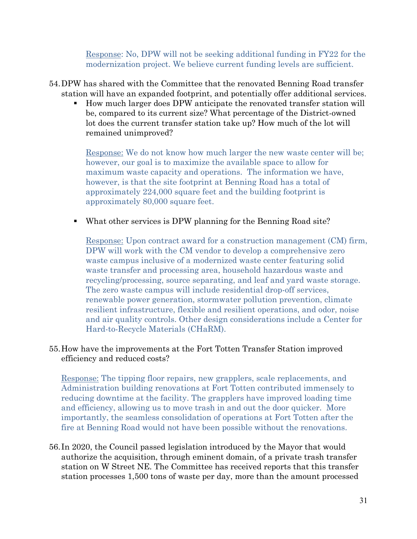Response: No, DPW will not be seeking additional funding in FY22 for the modernization project. We believe current funding levels are sufficient.

- 54.DPW has shared with the Committee that the renovated Benning Road transfer station will have an expanded footprint, and potentially offer additional services.
	- How much larger does DPW anticipate the renovated transfer station will be, compared to its current size? What percentage of the District-owned lot does the current transfer station take up? How much of the lot will remained unimproved?

Response: We do not know how much larger the new waste center will be; however, our goal is to maximize the available space to allow for maximum waste capacity and operations. The information we have, however, is that the site footprint at Benning Road has a total of approximately 224,000 square feet and the building footprint is approximately 80,000 square feet.

What other services is DPW planning for the Benning Road site?

Response: Upon contract award for a construction management (CM) firm, DPW will work with the CM vendor to develop a comprehensive zero waste campus inclusive of a modernized waste center featuring solid waste transfer and processing area, household hazardous waste and recycling/processing, source separating, and leaf and yard waste storage. The zero waste campus will include residential drop-off services, renewable power generation, stormwater pollution prevention, climate resilient infrastructure, flexible and resilient operations, and odor, noise and air quality controls. Other design considerations include a Center for Hard-to-Recycle Materials (CHaRM).

## 55.How have the improvements at the Fort Totten Transfer Station improved efficiency and reduced costs?

Response: The tipping floor repairs, new grapplers, scale replacements, and Administration building renovations at Fort Totten contributed immensely to reducing downtime at the facility. The grapplers have improved loading time and efficiency, allowing us to move trash in and out the door quicker. More importantly, the seamless consolidation of operations at Fort Totten after the fire at Benning Road would not have been possible without the renovations.

56. In 2020, the Council passed legislation introduced by the Mayor that would authorize the acquisition, through eminent domain, of a private trash transfer station on W Street NE. The Committee has received reports that this transfer station processes 1,500 tons of waste per day, more than the amount processed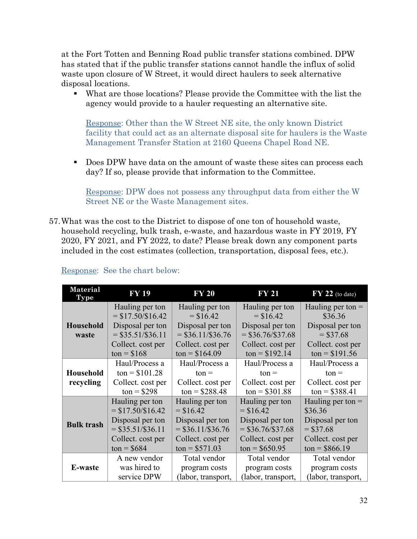at the Fort Totten and Benning Road public transfer stations combined. DPW has stated that if the public transfer stations cannot handle the influx of solid waste upon closure of W Street, it would direct haulers to seek alternative disposal locations.

 What are those locations? Please provide the Committee with the list the agency would provide to a hauler requesting an alternative site.

Response: Other than the W Street NE site, the only known District facility that could act as an alternate disposal site for haulers is the Waste Management Transfer Station at 2160 Queens Chapel Road NE.

Does DPW have data on the amount of waste these sites can process each day? If so, please provide that information to the Committee.

Response: DPW does not possess any throughput data from either the W Street NE or the Waste Management sites.

57.What was the cost to the District to dispose of one ton of household waste, household recycling, bulk trash, e-waste, and hazardous waste in FY 2019, FY 2020, FY 2021, and FY 2022, to date? Please break down any component parts included in the cost estimates (collection, transportation, disposal fees, etc.).

| <b>Material</b><br><b>Type</b> | <b>FY 19</b>                                                           | <b>FY 20</b>                                                      | <b>FY 21</b>                                                      | $\overline{FY}$ 22 (to date)                                      |
|--------------------------------|------------------------------------------------------------------------|-------------------------------------------------------------------|-------------------------------------------------------------------|-------------------------------------------------------------------|
|                                | Hauling per ton                                                        | Hauling per ton                                                   | Hauling per ton                                                   | Hauling per ton $=$                                               |
|                                | $= $17.50 \times 16.42$                                                | $=$ \$16.42                                                       | $=$ \$16.42                                                       | \$36.36                                                           |
| <b>Household</b>               | Disposal per ton                                                       | Disposal per ton                                                  | Disposal per ton                                                  | Disposal per ton                                                  |
| waste                          | $=$ \$35.51/\$36.11                                                    | $=$ \$36.11/\$36.76                                               | $=$ \$36.76/\$37.68                                               | $= $37.68$                                                        |
|                                | Collect. cost per                                                      | Collect. cost per                                                 | Collect. cost per                                                 | Collect. cost per                                                 |
|                                | $ton = $168$                                                           | $ton = $164.09$                                                   | $ton = $192.14$                                                   | $ton = $191.56$                                                   |
| <b>Household</b><br>recycling  | Haul/Process a<br>$ton = $101.28$<br>Collect. cost per<br>$ton = $298$ | Haul/Process a<br>$ton =$<br>Collect. cost per<br>$ton = $288.48$ | Haul/Process a<br>$ton =$<br>Collect. cost per<br>$ton = $301.88$ | Haul/Process a<br>$ton =$<br>Collect. cost per<br>$ton = $388.41$ |
| <b>Bulk trash</b>              | Hauling per ton                                                        | Hauling per ton                                                   | Hauling per ton                                                   | Hauling per ton $=$                                               |
|                                | $=$ \$17.50/\$16.42                                                    | $=$ \$16.42                                                       | $=$ \$16.42                                                       | \$36.36                                                           |
|                                | Disposal per ton                                                       | Disposal per ton                                                  | Disposal per ton                                                  | Disposal per ton                                                  |
|                                | $=$ \$35.51/\$36.11                                                    | $=$ \$36.11/\$36.76                                               | $=$ \$36.76/\$37.68                                               | $=$ \$37.68                                                       |
|                                | Collect. cost per                                                      | Collect. cost per                                                 | Collect. cost per                                                 | Collect. cost per                                                 |
|                                | $ton = $684$                                                           | $ton = $571.03$                                                   | $ton = $650.95$                                                   | $ton = $866.19$                                                   |
| <b>E-waste</b>                 | A new vendor                                                           | Total vendor                                                      | Total vendor                                                      | Total vendor                                                      |
|                                | was hired to                                                           | program costs                                                     | program costs                                                     | program costs                                                     |
|                                | service DPW                                                            | (labor, transport,                                                | (labor, transport,                                                | (labor, transport,                                                |

### Response: See the chart below: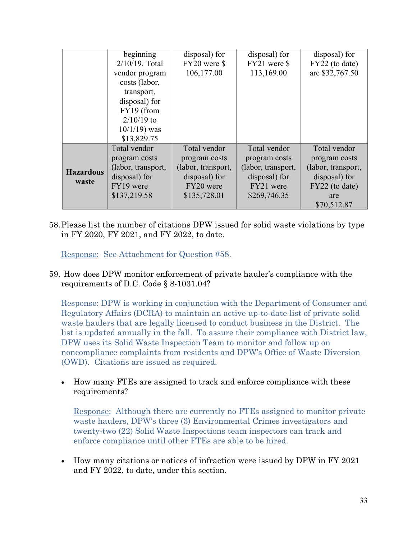|                  | beginning          | disposal) for      | disposal) for      | disposal) for      |
|------------------|--------------------|--------------------|--------------------|--------------------|
|                  | 2/10/19. Total     | FY20 were \$       | FY21 were \$       | FY22 (to date)     |
|                  | vendor program     | 106,177.00         | 113,169.00         | are \$32,767.50    |
|                  | costs (labor,      |                    |                    |                    |
|                  | transport,         |                    |                    |                    |
|                  | disposal) for      |                    |                    |                    |
|                  | FY19 (from         |                    |                    |                    |
|                  | $2/10/19$ to       |                    |                    |                    |
|                  | $10/1/19$ ) was    |                    |                    |                    |
|                  | \$13,829.75        |                    |                    |                    |
|                  | Total vendor       | Total vendor       | Total vendor       | Total vendor       |
|                  | program costs      | program costs      | program costs      | program costs      |
| <b>Hazardous</b> | (labor, transport, | (labor, transport, | (labor, transport, | (labor, transport, |
| waste            | disposal) for      | disposal) for      | disposal) for      | disposal) for      |
|                  | FY19 were          | FY20 were          | FY21 were          | FY22 (to date)     |
|                  | \$137,219.58       | \$135,728.01       | \$269,746.35       | are                |
|                  |                    |                    |                    | \$70,512.87        |

58.Please list the number of citations DPW issued for solid waste violations by type in FY 2020, FY 2021, and FY 2022, to date.

Response: See Attachment for Question #58.

59. How does DPW monitor enforcement of private hauler's compliance with the requirements of D.C. Code § 8-1031.04?

Response: DPW is working in conjunction with the Department of Consumer and Regulatory Affairs (DCRA) to maintain an active up-to-date list of private solid waste haulers that are legally licensed to conduct business in the District. The list is updated annually in the fall. To assure their compliance with District law, DPW uses its Solid Waste Inspection Team to monitor and follow up on noncompliance complaints from residents and DPW's Office of Waste Diversion (OWD). Citations are issued as required.

• How many FTEs are assigned to track and enforce compliance with these requirements?

Response: Although there are currently no FTEs assigned to monitor private waste haulers, DPW's three (3) Environmental Crimes investigators and twenty-two (22) Solid Waste Inspections team inspectors can track and enforce compliance until other FTEs are able to be hired.

• How many citations or notices of infraction were issued by DPW in FY 2021 and FY 2022, to date, under this section.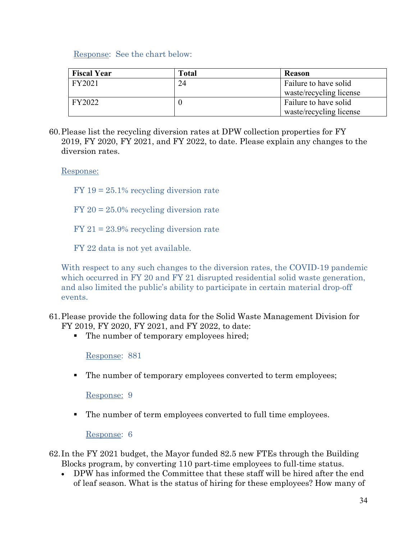Response: See the chart below:

| <b>Fiscal Year</b> | Total | <b>Reason</b>           |
|--------------------|-------|-------------------------|
| FY2021             | 24    | Failure to have solid   |
|                    |       | waste/recycling license |
| FY2022             |       | Failure to have solid   |
|                    |       | waste/recycling license |

60.Please list the recycling diversion rates at DPW collection properties for FY 2019, FY 2020, FY 2021, and FY 2022, to date. Please explain any changes to the diversion rates.

Response:

 $FY$  19 = 25.1% recycling diversion rate

FY 20 = 25.0% recycling diversion rate

FY 21 = 23.9% recycling diversion rate

FY 22 data is not yet available.

With respect to any such changes to the diversion rates, the COVID-19 pandemic which occurred in FY 20 and FY 21 disrupted residential solid waste generation, and also limited the public's ability to participate in certain material drop-off events.

- 61.Please provide the following data for the Solid Waste Management Division for FY 2019, FY 2020, FY 2021, and FY 2022, to date:
	- The number of temporary employees hired;

Response: 881

The number of temporary employees converted to term employees;

Response: 9

The number of term employees converted to full time employees.

Response: 6

62. In the FY 2021 budget, the Mayor funded 82.5 new FTEs through the Building Blocks program, by converting 110 part-time employees to full-time status.

• DPW has informed the Committee that these staff will be hired after the end of leaf season. What is the status of hiring for these employees? How many of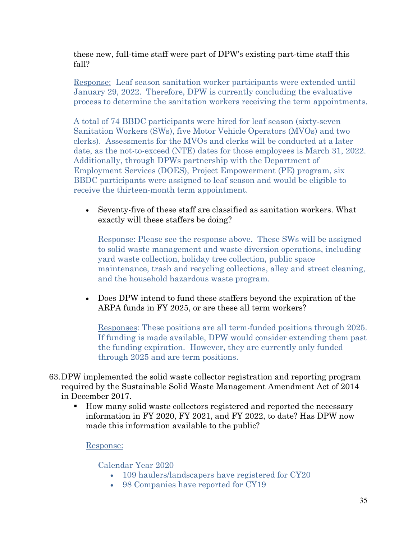these new, full-time staff were part of DPW's existing part-time staff this fall?

Response: Leaf season sanitation worker participants were extended until January 29, 2022. Therefore, DPW is currently concluding the evaluative process to determine the sanitation workers receiving the term appointments.

A total of 74 BBDC participants were hired for leaf season (sixty-seven Sanitation Workers (SWs), five Motor Vehicle Operators (MVOs) and two clerks). Assessments for the MVOs and clerks will be conducted at a later date, as the not-to-exceed (NTE) dates for those employees is March 31, 2022. Additionally, through DPWs partnership with the Department of Employment Services (DOES), Project Empowerment (PE) program, six BBDC participants were assigned to leaf season and would be eligible to receive the thirteen-month term appointment.

• Seventy-five of these staff are classified as sanitation workers. What exactly will these staffers be doing?

Response: Please see the response above. These SWs will be assigned to solid waste management and waste diversion operations, including yard waste collection, holiday tree collection, public space maintenance, trash and recycling collections, alley and street cleaning, and the household hazardous waste program.

• Does DPW intend to fund these staffers beyond the expiration of the ARPA funds in FY 2025, or are these all term workers?

Responses: These positions are all term-funded positions through 2025. If funding is made available, DPW would consider extending them past the funding expiration. However, they are currently only funded through 2025 and are term positions.

- 63.DPW implemented the solid waste collector registration and reporting program required by the Sustainable Solid Waste Management Amendment Act of 2014 in December 2017.
	- How many solid waste collectors registered and reported the necessary information in FY 2020, FY 2021, and FY 2022, to date? Has DPW now made this information available to the public?

## Response:

## Calendar Year 2020

- 109 haulers/landscapers have registered for CY20
- 98 Companies have reported for CY19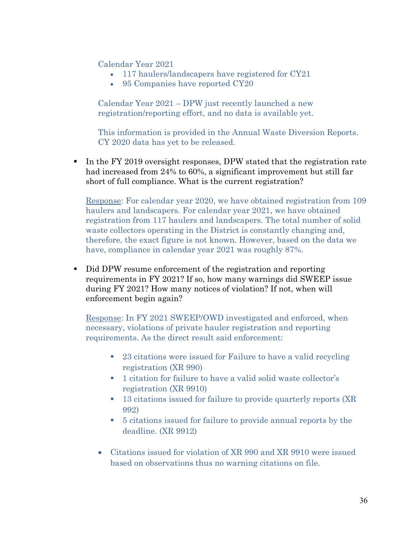Calendar Year 2021

- 117 haulers/landscapers have registered for CY21
- 95 Companies have reported CY20

Calendar Year 2021 – DPW just recently launched a new registration/reporting effort, and no data is available yet.

This information is provided in the Annual Waste Diversion Reports. CY 2020 data has yet to be released.

In the FY 2019 oversight responses, DPW stated that the registration rate had increased from 24% to 60%, a significant improvement but still far short of full compliance. What is the current registration?

Response: For calendar year 2020, we have obtained registration from 109 haulers and landscapers. For calendar year 2021, we have obtained registration from 117 haulers and landscapers. The total number of solid waste collectors operating in the District is constantly changing and, therefore, the exact figure is not known. However, based on the data we have, compliance in calendar year 2021 was roughly 87%.

Did DPW resume enforcement of the registration and reporting requirements in FY 2021? If so, how many warnings did SWEEP issue during FY 2021? How many notices of violation? If not, when will enforcement begin again?

Response: In FY 2021 SWEEP/OWD investigated and enforced, when necessary, violations of private hauler registration and reporting requirements. As the direct result said enforcement:

- <sup>23</sup> citations were issued for Failure to have a valid recycling registration (XR 990)
- <sup>•</sup> 1 citation for failure to have a valid solid waste collector's registration (XR 9910)
- **13 citations issued for failure to provide quarterly reports (XR** 992)
- 5 citations issued for failure to provide annual reports by the deadline. (XR 9912)
- Citations issued for violation of XR 990 and XR 9910 were issued based on observations thus no warning citations on file.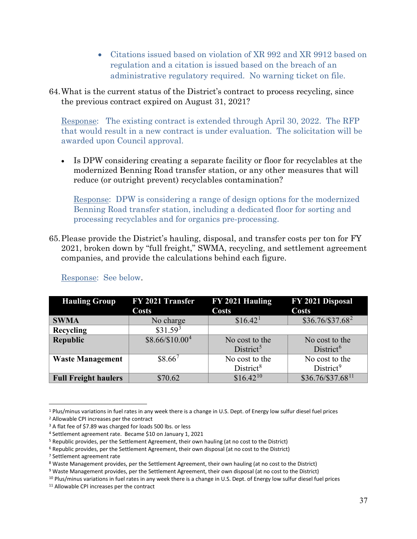- Citations issued based on violation of XR 992 and XR 9912 based on regulation and a citation is issued based on the breach of an administrative regulatory required. No warning ticket on file.
- 64.What is the current status of the District's contract to process recycling, since the previous contract expired on August 31, 2021?

Response: The existing contract is extended through April 30, 2022. The RFP that would result in a new contract is under evaluation. The solicitation will be awarded upon Council approval.

• Is DPW considering creating a separate facility or floor for recyclables at the modernized Benning Road transfer station, or any other measures that will reduce (or outright prevent) recyclables contamination?

Response: DPW is considering a range of design options for the modernized Benning Road transfer station, including a dedicated floor for sorting and processing recyclables and for organics pre-processing.

65.Please provide the District's hauling, disposal, and transfer costs per ton for FY 2021, broken down by "full freight," SWMA, recycling, and settlement agreement companies, and provide the calculations behind each figure.

| <b>Hauling Group</b>        | FY 2021 Transfer     | FY 2021 Hauling       | FY 2021 Disposal              |
|-----------------------------|----------------------|-----------------------|-------------------------------|
|                             | <b>Costs</b>         | <b>Costs</b>          | <b>Costs</b>                  |
| <b>SWMA</b>                 | No charge            | \$16.42 <sup>1</sup>  | $$36.76/\$37.68^2$            |
| Recycling                   | \$31.59 <sup>3</sup> |                       |                               |
| Republic                    | $$8.66/\$10.00^{4}$  | No cost to the        | No cost to the                |
|                             |                      | District <sup>5</sup> | District <sup>6</sup>         |
| <b>Waste Management</b>     | $$8.66^7$            | No cost to the        | No cost to the                |
|                             |                      | District <sup>8</sup> | District <sup>9</sup>         |
| <b>Full Freight haulers</b> | \$70.62              | $$16.42^{10}$         | \$36.76/\$37.68 <sup>11</sup> |

Response: See below.

<span id="page-36-0"></span><sup>1</sup> Plus/minus variations in fuel rates in any week there is a change in U.S. Dept. of Energy low sulfur diesel fuel prices

<span id="page-36-1"></span><sup>2</sup> Allowable CPI increases per the contract

<span id="page-36-2"></span><sup>3</sup> A flat fee of \$7.89 was charged for loads 500 lbs. or less

<span id="page-36-3"></span><sup>4</sup> Settlement agreement rate. Became \$10 on January 1, 2021

<span id="page-36-4"></span><sup>5</sup> Republic provides, per the Settlement Agreement, their own hauling (at no cost to the District)

<span id="page-36-5"></span><sup>6</sup> Republic provides, per the Settlement Agreement, their own disposal (at no cost to the District)

<span id="page-36-6"></span><sup>7</sup> Settlement agreement rate

<span id="page-36-7"></span><sup>8</sup> Waste Management provides, per the Settlement Agreement, their own hauling (at no cost to the District)

<span id="page-36-8"></span><sup>9</sup> Waste Management provides, per the Settlement Agreement, their own disposal (at no cost to the District)

<span id="page-36-9"></span><sup>&</sup>lt;sup>10</sup> Plus/minus variations in fuel rates in any week there is a change in U.S. Dept. of Energy low sulfur diesel fuel prices

<span id="page-36-10"></span><sup>11</sup> Allowable CPI increases per the contract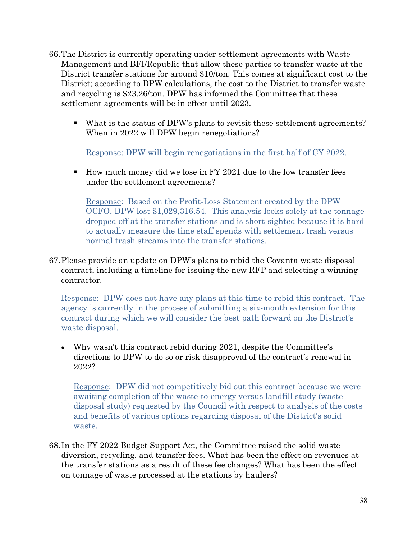- 66.The District is currently operating under settlement agreements with Waste Management and BFI/Republic that allow these parties to transfer waste at the District transfer stations for around \$10/ton. This comes at significant cost to the District; according to DPW calculations, the cost to the District to transfer waste and recycling is \$23.26/ton. DPW has informed the Committee that these settlement agreements will be in effect until 2023.
	- What is the status of DPW's plans to revisit these settlement agreements? When in 2022 will DPW begin renegotiations?

Response: DPW will begin renegotiations in the first half of CY 2022.

 How much money did we lose in FY 2021 due to the low transfer fees under the settlement agreements?

Response: Based on the Profit-Loss Statement created by the DPW OCFO, DPW lost \$1,029,316.54. This analysis looks solely at the tonnage dropped off at the transfer stations and is short-sighted because it is hard to actually measure the time staff spends with settlement trash versus normal trash streams into the transfer stations.

67.Please provide an update on DPW's plans to rebid the Covanta waste disposal contract, including a timeline for issuing the new RFP and selecting a winning contractor.

Response: DPW does not have any plans at this time to rebid this contract. The agency is currently in the process of submitting a six-month extension for this contract during which we will consider the best path forward on the District's waste disposal.

• Why wasn't this contract rebid during 2021, despite the Committee's directions to DPW to do so or risk disapproval of the contract's renewal in 2022?

Response: DPW did not competitively bid out this contract because we were awaiting completion of the waste-to-energy versus landfill study (waste disposal study) requested by the Council with respect to analysis of the costs and benefits of various options regarding disposal of the District's solid waste.

68. In the FY 2022 Budget Support Act, the Committee raised the solid waste diversion, recycling, and transfer fees. What has been the effect on revenues at the transfer stations as a result of these fee changes? What has been the effect on tonnage of waste processed at the stations by haulers?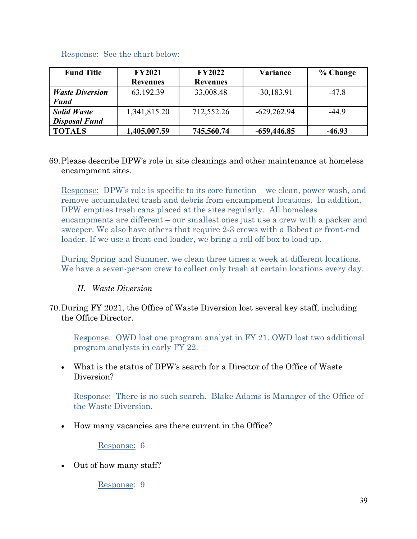| <b>Fund Title</b>      | <b>FY2021</b>   | <b>FY2022</b>   | Variance      | % Change |
|------------------------|-----------------|-----------------|---------------|----------|
|                        | <b>Revenues</b> | <b>Revenues</b> |               |          |
| <b>Waste Diversion</b> | 63,192.39       | 33,008.48       | $-30,183.91$  | $-47.8$  |
| <b>Fund</b>            |                 |                 |               |          |
| <b>Solid Waste</b>     | 1,341,815.20    | 712,552.26      | $-629,262.94$ | $-44.9$  |
| <b>Disposal Fund</b>   |                 |                 |               |          |
| <b>TOTALS</b>          | 1,405,007.59    | 745,560.74      | $-659,446.85$ | $-46.93$ |

## Response: See the chart below:

## 69.Please describe DPW's role in site cleanings and other maintenance at homeless encampment sites.

Response: DPW's role is specific to its core function – we clean, power wash, and remove accumulated trash and debris from encampment locations. In addition, DPW empties trash cans placed at the sites regularly. All homeless encampments are different – our smallest ones just use a crew with a packer and sweeper. We also have others that require 2-3 crews with a Bobcat or front-end loader. If we use a front-end loader, we bring a roll off box to load up.

During Spring and Summer, we clean three times a week at different locations. We have a seven-person crew to collect only trash at certain locations every day.

## *II. Waste Diversion*

## 70.During FY 2021, the Office of Waste Diversion lost several key staff, including the Office Director.

Response: OWD lost one program analyst in FY 21. OWD lost two additional program analysts in early FY 22.

• What is the status of DPW's search for a Director of the Office of Waste Diversion?

Response: There is no such search. Blake Adams is Manager of the Office of the Waste Diversion.

• How many vacancies are there current in the Office?

Response: 6

• Out of how many staff?

Response: 9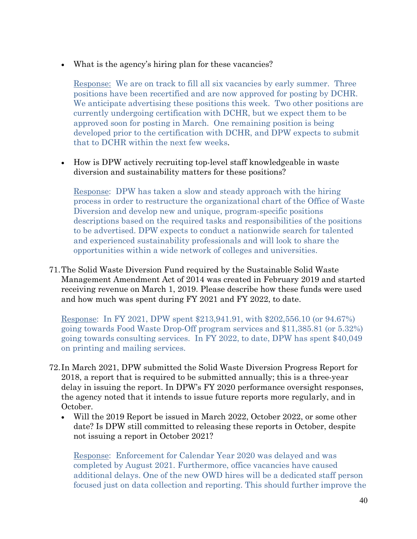• What is the agency's hiring plan for these vacancies?

Response: We are on track to fill all six vacancies by early summer. Three positions have been recertified and are now approved for posting by DCHR. We anticipate advertising these positions this week. Two other positions are currently undergoing certification with DCHR, but we expect them to be approved soon for posting in March. One remaining position is being developed prior to the certification with DCHR, and DPW expects to submit that to DCHR within the next few weeks.

• How is DPW actively recruiting top-level staff knowledgeable in waste diversion and sustainability matters for these positions?

Response: DPW has taken a slow and steady approach with the hiring process in order to restructure the organizational chart of the Office of Waste Diversion and develop new and unique, program-specific positions descriptions based on the required tasks and responsibilities of the positions to be advertised. DPW expects to conduct a nationwide search for talented and experienced sustainability professionals and will look to share the opportunities within a wide network of colleges and universities.

71.The Solid Waste Diversion Fund required by the Sustainable Solid Waste Management Amendment Act of 2014 was created in February 2019 and started receiving revenue on March 1, 2019. Please describe how these funds were used and how much was spent during FY 2021 and FY 2022, to date.

Response: In FY 2021, DPW spent \$213,941.91, with \$202,556.10 (or 94.67%) going towards Food Waste Drop-Off program services and \$11,385.81 (or 5.32%) going towards consulting services. In FY 2022, to date, DPW has spent \$40,049 on printing and mailing services.

- 72. In March 2021, DPW submitted the Solid Waste Diversion Progress Report for 2018, a report that is required to be submitted annually; this is a three-year delay in issuing the report. In DPW's FY 2020 performance oversight responses, the agency noted that it intends to issue future reports more regularly, and in October.
	- Will the 2019 Report be issued in March 2022, October 2022, or some other date? Is DPW still committed to releasing these reports in October, despite not issuing a report in October 2021?

Response: Enforcement for Calendar Year 2020 was delayed and was completed by August 2021. Furthermore, office vacancies have caused additional delays. One of the new OWD hires will be a dedicated staff person focused just on data collection and reporting. This should further improve the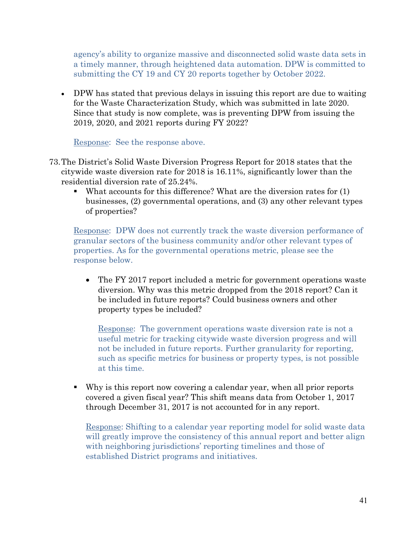agency's ability to organize massive and disconnected solid waste data sets in a timely manner, through heightened data automation. DPW is committed to submitting the CY 19 and CY 20 reports together by October 2022.

• DPW has stated that previous delays in issuing this report are due to waiting for the Waste Characterization Study, which was submitted in late 2020. Since that study is now complete, was is preventing DPW from issuing the 2019, 2020, and 2021 reports during FY 2022?

Response: See the response above.

- 73.The District's Solid Waste Diversion Progress Report for 2018 states that the citywide waste diversion rate for 2018 is 16.11%, significantly lower than the residential diversion rate of 25.24%.
	- What accounts for this difference? What are the diversion rates for (1) businesses, (2) governmental operations, and (3) any other relevant types of properties?

Response: DPW does not currently track the waste diversion performance of granular sectors of the business community and/or other relevant types of properties. As for the governmental operations metric, please see the response below.

• The FY 2017 report included a metric for government operations waste diversion. Why was this metric dropped from the 2018 report? Can it be included in future reports? Could business owners and other property types be included?

Response: The government operations waste diversion rate is not a useful metric for tracking citywide waste diversion progress and will not be included in future reports. Further granularity for reporting, such as specific metrics for business or property types, is not possible at this time.

 Why is this report now covering a calendar year, when all prior reports covered a given fiscal year? This shift means data from October 1, 2017 through December 31, 2017 is not accounted for in any report.

Response: Shifting to a calendar year reporting model for solid waste data will greatly improve the consistency of this annual report and better align with neighboring jurisdictions' reporting timelines and those of established District programs and initiatives.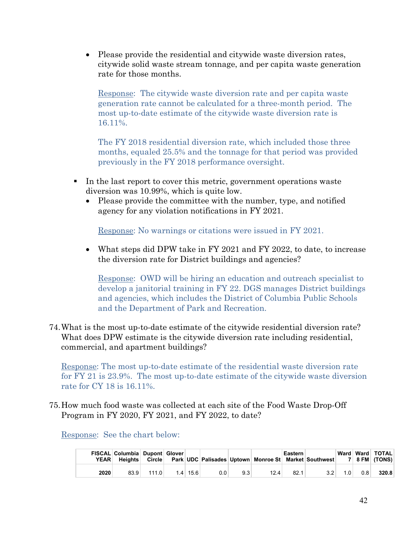• Please provide the residential and citywide waste diversion rates, citywide solid waste stream tonnage, and per capita waste generation rate for those months.

Response: The citywide waste diversion rate and per capita waste generation rate cannot be calculated for a three-month period. The most up-to-date estimate of the citywide waste diversion rate is 16.11%.

The FY 2018 residential diversion rate, which included those three months, equaled 25.5% and the tonnage for that period was provided previously in the FY 2018 performance oversight.

- In the last report to cover this metric, government operations waste diversion was 10.99%, which is quite low.
	- Please provide the committee with the number, type, and notified agency for any violation notifications in FY 2021.

Response: No warnings or citations were issued in FY 2021.

• What steps did DPW take in FY 2021 and FY 2022, to date, to increase the diversion rate for District buildings and agencies?

Response: OWD will be hiring an education and outreach specialist to develop a janitorial training in FY 22. DGS manages District buildings and agencies, which includes the District of Columbia Public Schools and the Department of Park and Recreation.

74.What is the most up-to-date estimate of the citywide residential diversion rate? What does DPW estimate is the citywide diversion rate including residential, commercial, and apartment buildings?

Response: The most up-to-date estimate of the residential waste diversion rate for FY 21 is 23.9%. The most up-to-date estimate of the citywide waste diversion rate for CY 18 is 16.11%.

75.How much food waste was collected at each site of the Food Waste Drop-Off Program in FY 2020, FY 2021, and FY 2022, to date?

Response: See the chart below:

| <b>YEAR</b> | FISCAL Columbia Dupont Glover<br><b>Heights</b> | Circle |     |      |         |     | Park UDC Palisades Uptown Monroe St Market Southwest | Eastern |     |                  |     | Ward   Ward   TOTAL  <br>$7 \mid 8$ FM $(TONS)$ |
|-------------|-------------------------------------------------|--------|-----|------|---------|-----|------------------------------------------------------|---------|-----|------------------|-----|-------------------------------------------------|
| 2020        | 83.9                                            | 111.0  | 1.4 | 15.6 | $0.0\,$ | 9.3 | 12.4                                                 | 82.1    | 3.2 | 1.0 <sub>1</sub> | 0.8 | 320.8                                           |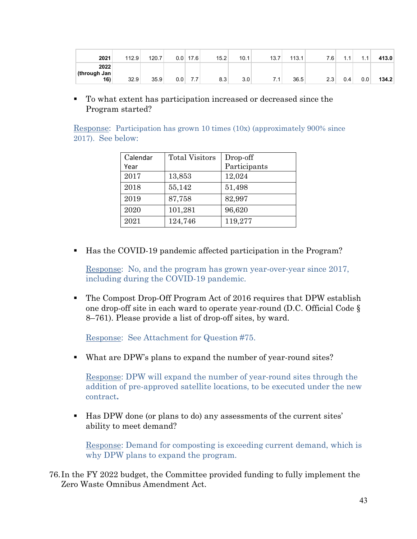| 2021                         | 112.9 | 120.7 | 0.0 | 17.6 | 15.2 | 10.1 | 13.7 | 113.1 | 7.6 | . . | 11<br>. . | 413.0 |
|------------------------------|-------|-------|-----|------|------|------|------|-------|-----|-----|-----------|-------|
| 2022<br>(through Jan)<br>16) | 32.9  | 35.9  | 0.0 | ، ا  | 8.3  | 3.0  | . .  | 36.5  | 2.3 | 0.4 | 0.0       | 134.2 |

 To what extent has participation increased or decreased since the Program started?

|                     |  |  | <b>Response:</b> Participation has grown 10 times (10x) (approximately 900% since |  |
|---------------------|--|--|-----------------------------------------------------------------------------------|--|
| $2017$ . See below: |  |  |                                                                                   |  |

| Calendar | <b>Total Visitors</b> | Drop-off     |
|----------|-----------------------|--------------|
| Year     |                       | Participants |
| 2017     | 13,853                | 12,024       |
| 2018     | 55,142                | 51,498       |
| 2019     | 87,758                | 82,997       |
| 2020     | 101,281               | 96,620       |
| 2021     | 124,746               | 119,277      |

Has the COVID-19 pandemic affected participation in the Program?

Response: No, and the program has grown year-over-year since 2017, including during the COVID-19 pandemic.

 The Compost Drop-Off Program Act of 2016 requires that DPW establish one drop-off site in each ward to operate year-round (D.C. Official Code § 8–761). Please provide a list of drop-off sites, by ward.

Response: See Attachment for Question #75.

What are DPW's plans to expand the number of year-round sites?

Response: DPW will expand the number of year-round sites through the addition of pre-approved satellite locations, to be executed under the new contract**.**

 Has DPW done (or plans to do) any assessments of the current sites' ability to meet demand?

Response: Demand for composting is exceeding current demand, which is why DPW plans to expand the program.

76. In the FY 2022 budget, the Committee provided funding to fully implement the Zero Waste Omnibus Amendment Act.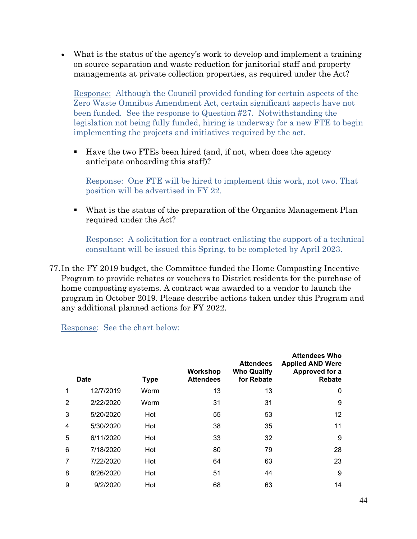• What is the status of the agency's work to develop and implement a training on source separation and waste reduction for janitorial staff and property managements at private collection properties, as required under the Act?

Response: Although the Council provided funding for certain aspects of the Zero Waste Omnibus Amendment Act, certain significant aspects have not been funded. See the response to Question #27. Notwithstanding the legislation not being fully funded, hiring is underway for a new FTE to begin implementing the projects and initiatives required by the act.

 Have the two FTEs been hired (and, if not, when does the agency anticipate onboarding this staff)?

Response: One FTE will be hired to implement this work, not two. That position will be advertised in FY 22.

 What is the status of the preparation of the Organics Management Plan required under the Act?

Response: A solicitation for a contract enlisting the support of a technical consultant will be issued this Spring, to be completed by April 2023.

77. In the FY 2019 budget, the Committee funded the Home Composting Incentive Program to provide rebates or vouchers to District residents for the purchase of home composting systems. A contract was awarded to a vendor to launch the program in October 2019. Please describe actions taken under this Program and any additional planned actions for FY 2022.

Response: See the chart below:

|                | <b>Date</b> | <b>Type</b> | Workshop<br><b>Attendees</b> | <b>Attendees</b><br><b>Who Qualify</b><br>for Rebate | <b>Attendees Who</b><br><b>Applied AND Were</b><br>Approved for a<br><b>Rebate</b> |
|----------------|-------------|-------------|------------------------------|------------------------------------------------------|------------------------------------------------------------------------------------|
| 1              | 12/7/2019   | Worm        | 13                           | 13                                                   | 0                                                                                  |
| 2              | 2/22/2020   | Worm        | 31                           | 31                                                   | 9                                                                                  |
| 3              | 5/20/2020   | Hot         | 55                           | 53                                                   | 12                                                                                 |
| $\overline{4}$ | 5/30/2020   | Hot         | 38                           | 35                                                   | 11                                                                                 |
| 5              | 6/11/2020   | Hot         | 33                           | 32                                                   | 9                                                                                  |
| 6              | 7/18/2020   | Hot         | 80                           | 79                                                   | 28                                                                                 |
| 7              | 7/22/2020   | Hot         | 64                           | 63                                                   | 23                                                                                 |
| 8              | 8/26/2020   | Hot         | 51                           | 44                                                   | 9                                                                                  |
| 9              | 9/2/2020    | Hot         | 68                           | 63                                                   | 14                                                                                 |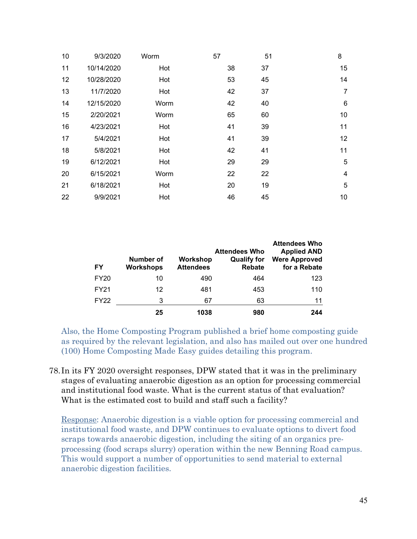| 9/3/2020   | Worm | 57 | 51 | 8              |
|------------|------|----|----|----------------|
| 10/14/2020 | Hot  | 38 | 37 | 15             |
| 10/28/2020 | Hot  | 53 | 45 | 14             |
| 11/7/2020  | Hot  | 42 | 37 | $\overline{7}$ |
| 12/15/2020 | Worm | 42 | 40 | $\,6$          |
| 2/20/2021  | Worm | 65 | 60 | 10             |
| 4/23/2021  | Hot  | 41 | 39 | 11             |
| 5/4/2021   | Hot  | 41 | 39 | 12             |
| 5/8/2021   | Hot  | 42 | 41 | 11             |
| 6/12/2021  | Hot  | 29 | 29 | 5              |
| 6/15/2021  | Worm | 22 | 22 | $\overline{4}$ |
| 6/18/2021  | Hot  | 20 | 19 | 5              |
| 9/9/2021   | Hot  | 46 | 45 | 10             |
|            |      |    |    |                |

| FY          | Number of<br><b>Workshops</b> | Workshop<br><b>Attendees</b> | <b>Attendees Who</b><br><b>Qualify for</b><br><b>Rebate</b> | <b>Attendees Who</b><br><b>Applied AND</b><br><b>Were Approved</b><br>for a Rebate |
|-------------|-------------------------------|------------------------------|-------------------------------------------------------------|------------------------------------------------------------------------------------|
| <b>FY20</b> | 10                            | 490                          | 464                                                         | 123                                                                                |
| <b>FY21</b> | 12                            | 481                          | 453                                                         | 110                                                                                |
| <b>FY22</b> | 3                             | 67                           | 63                                                          | 11                                                                                 |
|             | 25                            | 1038                         | 980                                                         | 244                                                                                |

Also, the Home Composting Program published a brief home composting guide as required by the relevant legislation, and also has mailed out over one hundred (100) Home Composting Made Easy guides detailing this program.

78. In its FY 2020 oversight responses, DPW stated that it was in the preliminary stages of evaluating anaerobic digestion as an option for processing commercial and institutional food waste. What is the current status of that evaluation? What is the estimated cost to build and staff such a facility?

Response: Anaerobic digestion is a viable option for processing commercial and institutional food waste, and DPW continues to evaluate options to divert food scraps towards anaerobic digestion, including the siting of an organics preprocessing (food scraps slurry) operation within the new Benning Road campus. This would support a number of opportunities to send material to external anaerobic digestion facilities.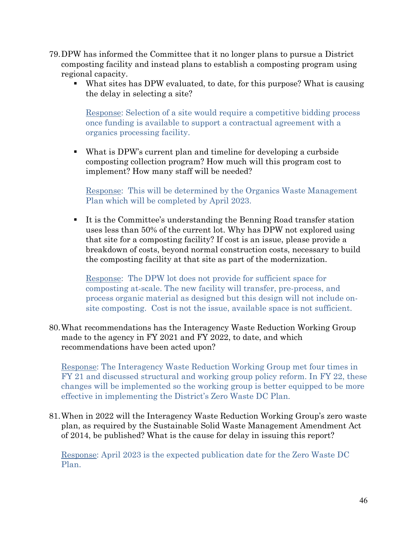- 79.DPW has informed the Committee that it no longer plans to pursue a District composting facility and instead plans to establish a composting program using regional capacity.
	- What sites has DPW evaluated, to date, for this purpose? What is causing the delay in selecting a site?

Response: Selection of a site would require a competitive bidding process once funding is available to support a contractual agreement with a organics processing facility.

 What is DPW's current plan and timeline for developing a curbside composting collection program? How much will this program cost to implement? How many staff will be needed?

Response: This will be determined by the Organics Waste Management Plan which will be completed by April 2023.

 It is the Committee's understanding the Benning Road transfer station uses less than 50% of the current lot. Why has DPW not explored using that site for a composting facility? If cost is an issue, please provide a breakdown of costs, beyond normal construction costs, necessary to build the composting facility at that site as part of the modernization.

Response: The DPW lot does not provide for sufficient space for composting at-scale. The new facility will transfer, pre-process, and process organic material as designed but this design will not include onsite composting. Cost is not the issue, available space is not sufficient.

80.What recommendations has the Interagency Waste Reduction Working Group made to the agency in FY 2021 and FY 2022, to date, and which recommendations have been acted upon?

Response: The Interagency Waste Reduction Working Group met four times in FY 21 and discussed structural and working group policy reform. In FY 22, these changes will be implemented so the working group is better equipped to be more effective in implementing the District's Zero Waste DC Plan.

81.When in 2022 will the Interagency Waste Reduction Working Group's zero waste plan, as required by the Sustainable Solid Waste Management Amendment Act of 2014, be published? What is the cause for delay in issuing this report?

Response: April 2023 is the expected publication date for the Zero Waste DC Plan.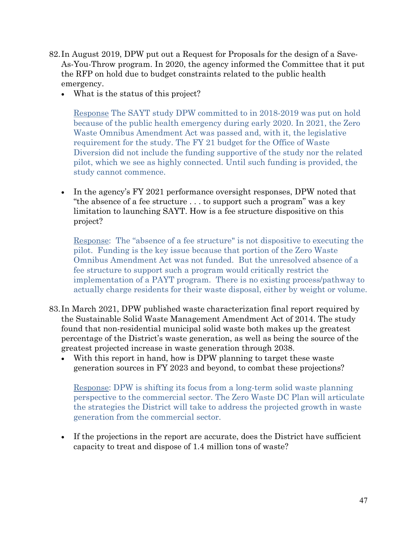- 82. In August 2019, DPW put out a Request for Proposals for the design of a Save-As-You-Throw program. In 2020, the agency informed the Committee that it put the RFP on hold due to budget constraints related to the public health emergency.
	- What is the status of this project?

Response The SAYT study DPW committed to in 2018-2019 was put on hold because of the public health emergency during early 2020. In 2021, the Zero Waste Omnibus Amendment Act was passed and, with it, the legislative requirement for the study. The FY 21 budget for the Office of Waste Diversion did not include the funding supportive of the study nor the related pilot, which we see as highly connected. Until such funding is provided, the study cannot commence.

• In the agency's FY 2021 performance oversight responses, DPW noted that "the absence of a fee structure . . . to support such a program" was a key limitation to launching SAYT. How is a fee structure dispositive on this project?

Response: The "absence of a fee structure" is not dispositive to executing the pilot. Funding is the key issue because that portion of the Zero Waste Omnibus Amendment Act was not funded. But the unresolved absence of a fee structure to support such a program would critically restrict the implementation of a PAYT program. There is no existing process/pathway to actually charge residents for their waste disposal, either by weight or volume.

- 83. In March 2021, DPW published waste characterization final report required by the Sustainable Solid Waste Management Amendment Act of 2014. The study found that non-residential municipal solid waste both makes up the greatest percentage of the District's waste generation, as well as being the source of the greatest projected increase in waste generation through 2038.
	- With this report in hand, how is DPW planning to target these waste generation sources in FY 2023 and beyond, to combat these projections?

Response: DPW is shifting its focus from a long-term solid waste planning perspective to the commercial sector. The Zero Waste DC Plan will articulate the strategies the District will take to address the projected growth in waste generation from the commercial sector.

• If the projections in the report are accurate, does the District have sufficient capacity to treat and dispose of 1.4 million tons of waste?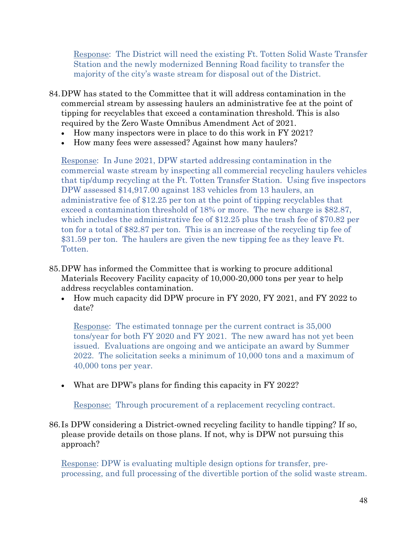Response: The District will need the existing Ft. Totten Solid Waste Transfer Station and the newly modernized Benning Road facility to transfer the majority of the city's waste stream for disposal out of the District.

- 84.DPW has stated to the Committee that it will address contamination in the commercial stream by assessing haulers an administrative fee at the point of tipping for recyclables that exceed a contamination threshold. This is also required by the Zero Waste Omnibus Amendment Act of 2021.
	- How many inspectors were in place to do this work in FY 2021?
	- How many fees were assessed? Against how many haulers?

Response: In June 2021, DPW started addressing contamination in the commercial waste stream by inspecting all commercial recycling haulers vehicles that tip/dump recycling at the Ft. Totten Transfer Station. Using five inspectors DPW assessed \$14,917.00 against 183 vehicles from 13 haulers, an administrative fee of \$12.25 per ton at the point of tipping recyclables that exceed a contamination threshold of 18% or more. The new charge is \$82.87, which includes the administrative fee of \$12.25 plus the trash fee of \$70.82 per ton for a total of \$82.87 per ton. This is an increase of the recycling tip fee of \$31.59 per ton. The haulers are given the new tipping fee as they leave Ft. Totten.

- 85.DPW has informed the Committee that is working to procure additional Materials Recovery Facility capacity of 10,000-20,000 tons per year to help address recyclables contamination.
	- How much capacity did DPW procure in FY 2020, FY 2021, and FY 2022 to date?

Response: The estimated tonnage per the current contract is 35,000 tons/year for both FY 2020 and FY 2021. The new award has not yet been issued. Evaluations are ongoing and we anticipate an award by Summer 2022. The solicitation seeks a minimum of 10,000 tons and a maximum of 40,000 tons per year.

• What are DPW's plans for finding this capacity in FY 2022?

Response: Through procurement of a replacement recycling contract.

86. Is DPW considering a District-owned recycling facility to handle tipping? If so, please provide details on those plans. If not, why is DPW not pursuing this approach?

Response: DPW is evaluating multiple design options for transfer, preprocessing, and full processing of the divertible portion of the solid waste stream.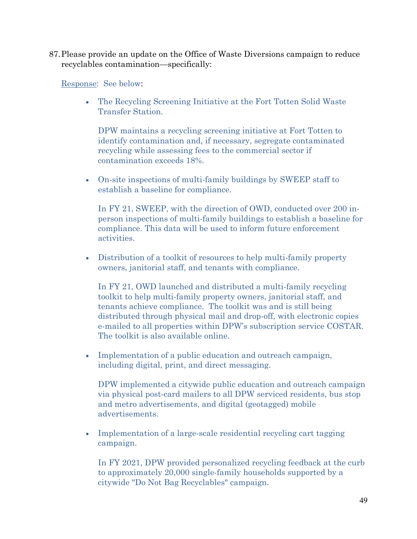87.Please provide an update on the Office of Waste Diversions campaign to reduce recyclables contamination—specifically:

Response: See below:

• The Recycling Screening Initiative at the Fort Totten Solid Waste Transfer Station.

DPW maintains a recycling screening initiative at Fort Totten to identify contamination and, if necessary, segregate contaminated recycling while assessing fees to the commercial sector if contamination exceeds 18%.

• On-site inspections of multi-family buildings by SWEEP staff to establish a baseline for compliance.

In FY 21, SWEEP, with the direction of OWD, conducted over 200 inperson inspections of multi-family buildings to establish a baseline for compliance. This data will be used to inform future enforcement activities.

• Distribution of a toolkit of resources to help multi-family property owners, janitorial staff, and tenants with compliance.

In FY 21, OWD launched and distributed a multi-family recycling toolkit to help multi-family property owners, janitorial staff, and tenants achieve compliance. The toolkit was and is still being distributed through physical mail and drop-off, with electronic copies e-mailed to all properties within DPW's subscription service COSTAR. The toolkit is also available online.

• Implementation of a public education and outreach campaign, including digital, print, and direct messaging.

DPW implemented a citywide public education and outreach campaign via physical post-card mailers to all DPW serviced residents, bus stop and metro advertisements, and digital (geotagged) mobile advertisements.

• Implementation of a large-scale residential recycling cart tagging campaign.

In FY 2021, DPW provided personalized recycling feedback at the curb to approximately 20,000 single-family households supported by a citywide "Do Not Bag Recyclables" campaign.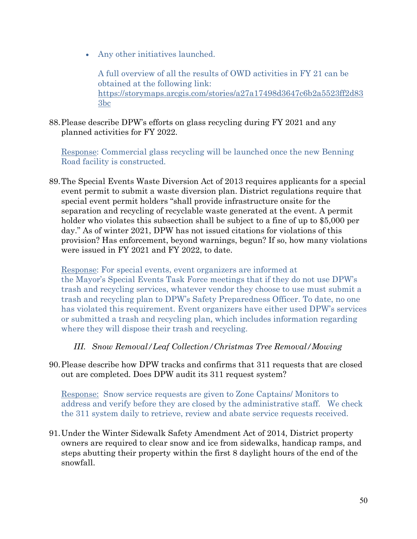• Any other initiatives launched.

A full overview of all the results of OWD activities in FY 21 can be obtained at the following link: [https://storymaps.arcgis.com/stories/a27a17498d3647c6b2a5523ff2d83](https://storymaps.arcgis.com/stories/a27a17498d3647c6b2a5523ff2d833bc) [3bc](https://storymaps.arcgis.com/stories/a27a17498d3647c6b2a5523ff2d833bc)

88.Please describe DPW's efforts on glass recycling during FY 2021 and any planned activities for FY 2022.

Response: Commercial glass recycling will be launched once the new Benning Road facility is constructed.

89.The Special Events Waste Diversion Act of 2013 requires applicants for a special event permit to submit a waste diversion plan. District regulations require that special event permit holders "shall provide infrastructure onsite for the separation and recycling of recyclable waste generated at the event. A permit holder who violates this subsection shall be subject to a fine of up to \$5,000 per day." As of winter 2021, DPW has not issued citations for violations of this provision? Has enforcement, beyond warnings, begun? If so, how many violations were issued in FY 2021 and FY 2022, to date.

Response: For special events, event organizers are informed at the Mayor's Special Events Task Force meetings that if they do not use DPW's trash and recycling services, whatever vendor they choose to use must submit a trash and recycling plan to DPW's Safety Preparedness Officer. To date, no one has violated this requirement. Event organizers have either used DPW's services or submitted a trash and recycling plan, which includes information regarding where they will dispose their trash and recycling.

## *III. Snow Removal/Leaf Collection/Christmas Tree Removal/Mowing*

90.Please describe how DPW tracks and confirms that 311 requests that are closed out are completed. Does DPW audit its 311 request system?

Response: Snow service requests are given to Zone Captains/ Monitors to address and verify before they are closed by the administrative staff. We check the 311 system daily to retrieve, review and abate service requests received.

91.Under the Winter Sidewalk Safety Amendment Act of 2014, District property owners are required to clear snow and ice from sidewalks, handicap ramps, and steps abutting their property within the first 8 daylight hours of the end of the snowfall.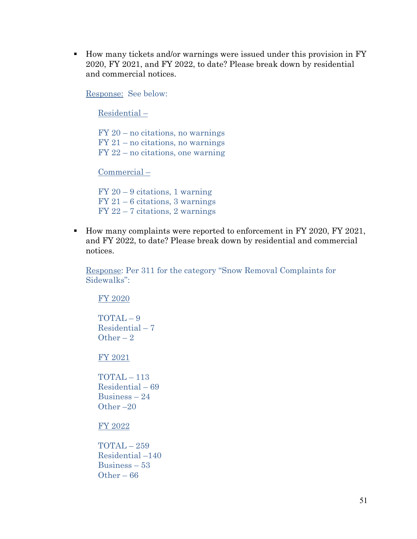■ How many tickets and/or warnings were issued under this provision in FY 2020, FY 2021, and FY 2022, to date? Please break down by residential and commercial notices.

Response: See below:

Residential –

 $FY$  20 – no citations, no warnings  $FY 21 - no citations, no warnings$ FY 22 – no citations, one warning

Commercial –

FY 20 – 9 citations, 1 warning  $FY 21 - 6$  citations, 3 warnings FY 22 – 7 citations, 2 warnings

How many complaints were reported to enforcement in FY 2020, FY 2021, and FY 2022, to date? Please break down by residential and commercial notices.

Response: Per 311 for the category "Snow Removal Complaints for Sidewalks":

FY 2020

TOTAL – 9 Residential – 7 Other  $-2$ 

FY 2021

TOTAL – 113 Residential – 69 Business – 24 Other –20

FY 2022

TOTAL – 259 Residential –140 Business – 53 Other – 66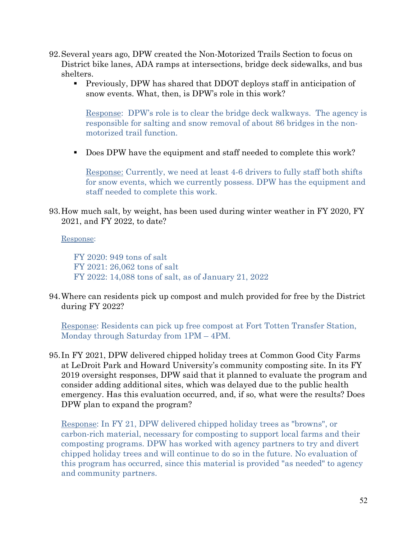- 92.Several years ago, DPW created the Non-Motorized Trails Section to focus on District bike lanes, ADA ramps at intersections, bridge deck sidewalks, and bus shelters.
	- Previously, DPW has shared that DDOT deploys staff in anticipation of snow events. What, then, is DPW's role in this work?

Response: DPW's role is to clear the bridge deck walkways. The agency is responsible for salting and snow removal of about 86 bridges in the nonmotorized trail function.

Does DPW have the equipment and staff needed to complete this work?

Response: Currently, we need at least 4-6 drivers to fully staff both shifts for snow events, which we currently possess. DPW has the equipment and staff needed to complete this work.

93.How much salt, by weight, has been used during winter weather in FY 2020, FY 2021, and FY 2022, to date?

Response:

FY 2020: 949 tons of salt FY 2021: 26,062 tons of salt FY 2022: 14,088 tons of salt, as of January 21, 2022

94.Where can residents pick up compost and mulch provided for free by the District during FY 2022?

Response: Residents can pick up free compost at Fort Totten Transfer Station, Monday through Saturday from 1PM – 4PM.

95. In FY 2021, DPW delivered chipped holiday trees at Common Good City Farms at LeDroit Park and Howard University's community composting site. In its FY 2019 oversight responses, DPW said that it planned to evaluate the program and consider adding additional sites, which was delayed due to the public health emergency. Has this evaluation occurred, and, if so, what were the results? Does DPW plan to expand the program?

Response: In FY 21, DPW delivered chipped holiday trees as "browns", or carbon-rich material, necessary for composting to support local farms and their composting programs. DPW has worked with agency partners to try and divert chipped holiday trees and will continue to do so in the future. No evaluation of this program has occurred, since this material is provided "as needed" to agency and community partners.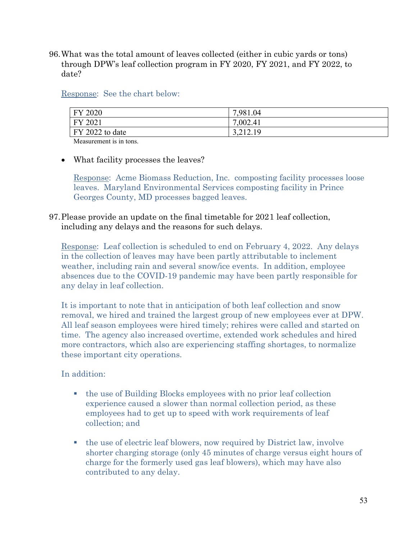96.What was the total amount of leaves collected (either in cubic yards or tons) through DPW's leaf collection program in FY 2020, FY 2021, and FY 2022, to date?

Response: See the chart below:

| FY 2020                 | 7,981.04 |
|-------------------------|----------|
| FY 2021                 | 7,002.41 |
| $\vert$ FY 2022 to date | 3,212.19 |
|                         |          |

Measurement is in tons.

## • What facility processes the leaves?

Response: Acme Biomass Reduction, Inc. composting facility processes loose leaves. Maryland Environmental Services composting facility in Prince Georges County, MD processes bagged leaves.

97.Please provide an update on the final timetable for 2021 leaf collection, including any delays and the reasons for such delays.

Response: Leaf collection is scheduled to end on February 4, 2022. Any delays in the collection of leaves may have been partly attributable to inclement weather, including rain and several snow/ice events. In addition, employee absences due to the COVID-19 pandemic may have been partly responsible for any delay in leaf collection.

It is important to note that in anticipation of both leaf collection and snow removal, we hired and trained the largest group of new employees ever at DPW. All leaf season employees were hired timely; rehires were called and started on time. The agency also increased overtime, extended work schedules and hired more contractors, which also are experiencing staffing shortages, to normalize these important city operations.

## In addition:

- the use of Building Blocks employees with no prior leaf collection experience caused a slower than normal collection period, as these employees had to get up to speed with work requirements of leaf collection; and
- the use of electric leaf blowers, now required by District law, involve shorter charging storage (only 45 minutes of charge versus eight hours of charge for the formerly used gas leaf blowers), which may have also contributed to any delay.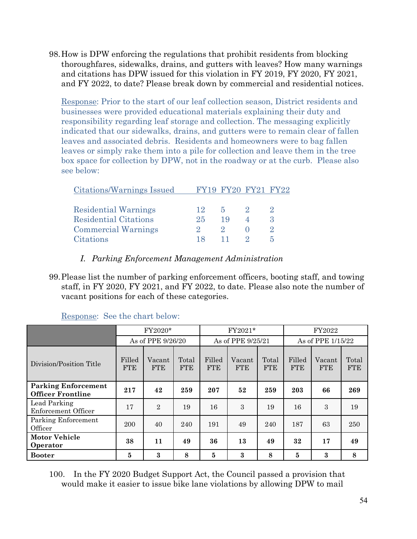98.How is DPW enforcing the regulations that prohibit residents from blocking thoroughfares, sidewalks, drains, and gutters with leaves? How many warnings and citations has DPW issued for this violation in FY 2019, FY 2020, FY 2021, and FY 2022, to date? Please break down by commercial and residential notices.

Response: Prior to the start of our leaf collection season, District residents and businesses were provided educational materials explaining their duty and responsibility regarding leaf storage and collection. The messaging explicitly indicated that our sidewalks, drains, and gutters were to remain clear of fallen leaves and associated debris. Residents and homeowners were to bag fallen leaves or simply rake them into a pile for collection and leave them in the tree box space for collection by DPW, not in the roadway or at the curb. Please also see below:

| Citations/Warnings Issued    |     | FY19 FY20 FY21 FY22 |              |
|------------------------------|-----|---------------------|--------------|
|                              |     |                     |              |
| <b>Residential Warnings</b>  | 12  | 5                   |              |
| <b>Residential Citations</b> | 25  | 19                  | $\mathbf{Q}$ |
| <b>Commercial Warnings</b>   |     |                     |              |
| Citations                    | 18. |                     |              |

- *I. Parking Enforcement Management Administration*
- 99.Please list the number of parking enforcement officers, booting staff, and towing staff, in FY 2020, FY 2021, and FY 2022, to date. Please also note the number of vacant positions for each of these categories.

|                                                        | FY2020*              |                      |                     | FY2021*              |                      | FY2022              |                      |                      |                     |
|--------------------------------------------------------|----------------------|----------------------|---------------------|----------------------|----------------------|---------------------|----------------------|----------------------|---------------------|
|                                                        |                      | As of PPE 9/26/20    |                     |                      | As of PPE 9/25/21    |                     | As of PPE 1/15/22    |                      |                     |
| Division/Position Title                                | Filled<br><b>FTE</b> | Vacant<br><b>FTE</b> | Total<br><b>FTE</b> | Filled<br><b>FTE</b> | Vacant<br><b>FTE</b> | Total<br><b>FTE</b> | Filled<br><b>FTE</b> | Vacant<br><b>FTE</b> | Total<br><b>FTE</b> |
| <b>Parking Enforcement</b><br><b>Officer Frontline</b> | 217                  | 42                   | 259                 | 207                  | 52                   | 259                 | 203                  | 66                   | 269                 |
| Lead Parking<br>Enforcement Officer                    | 17                   | $\overline{2}$       | 19                  | 16                   | 3                    | 19                  | 16                   | 3                    | 19                  |
| Parking Enforcement<br>Officer                         | 200                  | 40                   | 240                 | 191                  | 49                   | 240                 | 187                  | 63                   | 250                 |
| <b>Motor Vehicle</b><br>Operator                       | 38                   | 11                   | 49                  | 36                   | 13                   | 49                  | 32                   | 17                   | 49                  |
| <b>Booter</b>                                          | 5                    | 3                    | 8                   | 5                    | 3                    | 8                   | 5                    | 3                    | 8                   |

Response: See the chart below:

100. In the FY 2020 Budget Support Act, the Council passed a provision that would make it easier to issue bike lane violations by allowing DPW to mail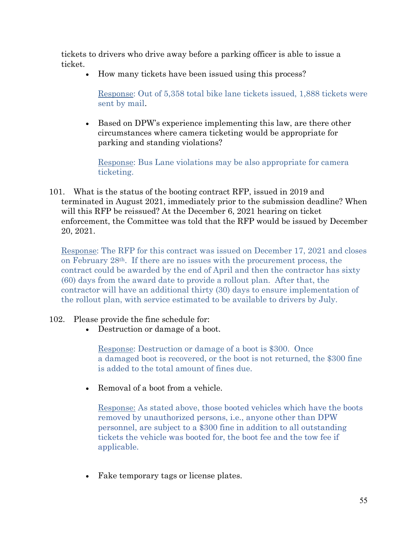tickets to drivers who drive away before a parking officer is able to issue a ticket.

• How many tickets have been issued using this process?

Response: Out of 5,358 total bike lane tickets issued, 1,888 tickets were sent by mail.

• Based on DPW's experience implementing this law, are there other circumstances where camera ticketing would be appropriate for parking and standing violations?

Response: Bus Lane violations may be also appropriate for camera ticketing.

101. What is the status of the booting contract RFP, issued in 2019 and terminated in August 2021, immediately prior to the submission deadline? When will this RFP be reissued? At the December 6, 2021 hearing on ticket enforcement, the Committee was told that the RFP would be issued by December 20, 2021.

Response: The RFP for this contract was issued on December 17, 2021 and closes on February  $28<sup>th</sup>$ . If there are no issues with the procurement process, the contract could be awarded by the end of April and then the contractor has sixty (60) days from the award date to provide a rollout plan. After that, the contractor will have an additional thirty (30) days to ensure implementation of the rollout plan, with service estimated to be available to drivers by July.

- 102. Please provide the fine schedule for:
	- Destruction or damage of a boot.

Response: Destruction or damage of a boot is \$300. Once a damaged boot is recovered, or the boot is not returned, the \$300 fine is added to the total amount of fines due.

• Removal of a boot from a vehicle.

Response: As stated above, those booted vehicles which have the boots removed by unauthorized persons, i.e., anyone other than DPW personnel, are subject to a \$300 fine in addition to all outstanding tickets the vehicle was booted for, the boot fee and the tow fee if applicable.

• Fake temporary tags or license plates.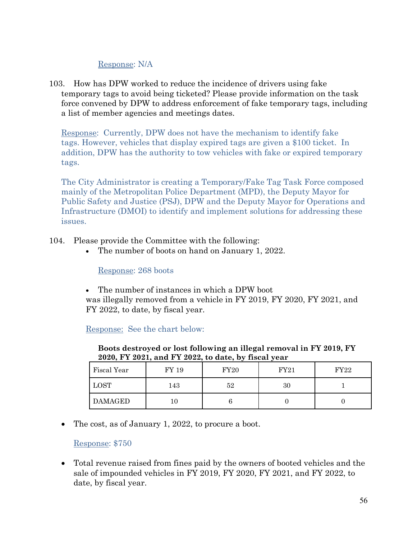## Response: N/A

103. How has DPW worked to reduce the incidence of drivers using fake temporary tags to avoid being ticketed? Please provide information on the task force convened by DPW to address enforcement of fake temporary tags, including a list of member agencies and meetings dates.

Response: Currently, DPW does not have the mechanism to identify fake tags. However, vehicles that display expired tags are given a \$100 ticket. In addition, DPW has the authority to tow vehicles with fake or expired temporary tags.

The City Administrator is creating a Temporary/Fake Tag Task Force composed mainly of the Metropolitan Police Department (MPD), the Deputy Mayor for Public Safety and Justice (PSJ), DPW and the Deputy Mayor for Operations and Infrastructure (DMOI) to identify and implement solutions for addressing these issues.

104. Please provide the Committee with the following:

• The number of boots on hand on January 1, 2022.

Response: 268 boots

The number of instances in which a DPW boot

was illegally removed from a vehicle in FY 2019, FY 2020, FY 2021, and FY 2022, to date, by fiscal year.

Response: See the chart below:

| $= 0.0001$ , $\pm 1.0001$ , $\pm 1.0001$ , $\pm 0.0001$ , $\pm 0.0001$ , $\pm 0.0001$ |       |      |             |      |  |  |
|---------------------------------------------------------------------------------------|-------|------|-------------|------|--|--|
| Fiscal Year                                                                           | FY 19 | FY20 | <b>FY21</b> | FY22 |  |  |
| LOST                                                                                  | 143   | 52   | 30          |      |  |  |
| <b>DAMAGED</b>                                                                        |       |      |             |      |  |  |

**Boots destroyed or lost following an illegal removal in FY 2019, FY 2020, FY 2021, and FY 2022, to date, by fiscal year**

• The cost, as of January 1, 2022, to procure a boot.

Response: \$750

• Total revenue raised from fines paid by the owners of booted vehicles and the sale of impounded vehicles in FY 2019, FY 2020, FY 2021, and FY 2022, to date, by fiscal year.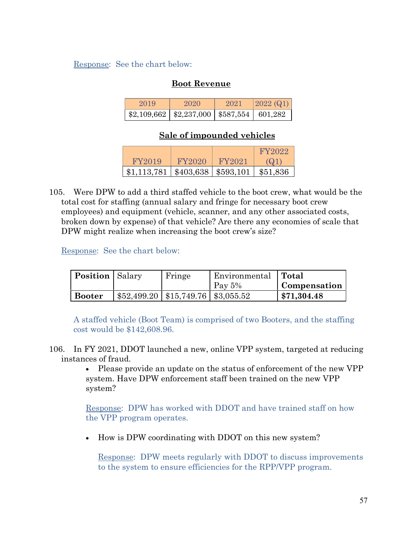Response: See the chart below:

## **Boot Revenue**

| 2019 | 2020                                               | 2021. | $ 2022 \ (Q1) $ |
|------|----------------------------------------------------|-------|-----------------|
|      | $$2,109,662$   $$2,237,000$   $$587,554$   601,282 |       |                 |

## **Sale of impounded vehicles**

|             |                          |        | FY 2022  |
|-------------|--------------------------|--------|----------|
| FY2019      | FY2020                   | FY2021 | (Q)      |
| \$1,113,781 | $$403,638 \mid $593,101$ |        | \$51,836 |

105. Were DPW to add a third staffed vehicle to the boot crew, what would be the total cost for staffing (annual salary and fringe for necessary boot crew employees) and equipment (vehicle, scanner, and any other associated costs, broken down by expense) of that vehicle? Are there any economies of scale that DPW might realize when increasing the boot crew's size?

Response: See the chart below:

| <b>Position</b> Salary |                                                      | Fringe | Environmental   Total |              |
|------------------------|------------------------------------------------------|--------|-----------------------|--------------|
|                        |                                                      |        | Pay $5%$              | Compensation |
| <b>Booter</b>          | $\frac{1}{2}$ \$52,499.20   \$15,749.76   \$3,055.52 |        |                       | \$71,304.48  |

A staffed vehicle (Boot Team) is comprised of two Booters, and the staffing cost would be \$142,608.96.

106. In FY 2021, DDOT launched a new, online VPP system, targeted at reducing instances of fraud.

> • Please provide an update on the status of enforcement of the new VPP system. Have DPW enforcement staff been trained on the new VPP system?

Response: DPW has worked with DDOT and have trained staff on how the VPP program operates.

• How is DPW coordinating with DDOT on this new system?

Response: DPW meets regularly with DDOT to discuss improvements to the system to ensure efficiencies for the RPP/VPP program.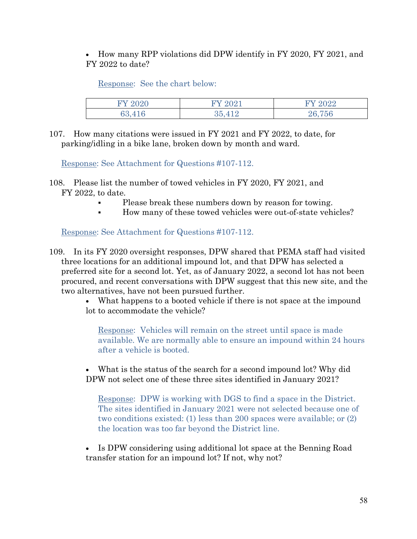• How many RPP violations did DPW identify in FY 2020, FY 2021, and FY 2022 to date?

Response: See the chart below:

| 0.000  | 9091 | 9099<br>'U44   |
|--------|------|----------------|
| 69 A T | ' ⊏  | 75G<br>$-20.2$ |

107. How many citations were issued in FY 2021 and FY 2022, to date, for parking/idling in a bike lane, broken down by month and ward.

Response: See Attachment for Questions #107-112.

- 108. Please list the number of towed vehicles in FY 2020, FY 2021, and FY 2022, to date.
	- Please break these numbers down by reason for towing.
	- How many of these towed vehicles were out-of-state vehicles?

Response: See Attachment for Questions #107-112.

109. In its FY 2020 oversight responses, DPW shared that PEMA staff had visited three locations for an additional impound lot, and that DPW has selected a preferred site for a second lot. Yet, as of January 2022, a second lot has not been procured, and recent conversations with DPW suggest that this new site, and the two alternatives, have not been pursued further.

> • What happens to a booted vehicle if there is not space at the impound lot to accommodate the vehicle?

Response: Vehicles will remain on the street until space is made available. We are normally able to ensure an impound within 24 hours after a vehicle is booted.

• What is the status of the search for a second impound lot? Why did DPW not select one of these three sites identified in January 2021?

Response: DPW is working with DGS to find a space in the District. The sites identified in January 2021 were not selected because one of two conditions existed: (1) less than 200 spaces were available; or (2) the location was too far beyond the District line.

• Is DPW considering using additional lot space at the Benning Road transfer station for an impound lot? If not, why not?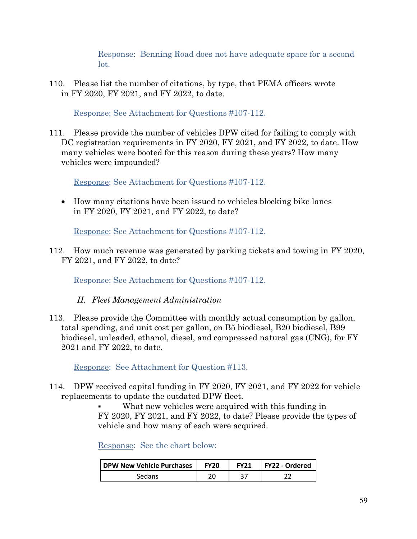Response: Benning Road does not have adequate space for a second lot.

110. Please list the number of citations, by type, that PEMA officers wrote in FY 2020, FY 2021, and FY 2022, to date.

Response: See Attachment for Questions #107-112.

111. Please provide the number of vehicles DPW cited for failing to comply with DC registration requirements in FY 2020, FY 2021, and FY 2022, to date. How many vehicles were booted for this reason during these years? How many vehicles were impounded?

Response: See Attachment for Questions #107-112.

• How many citations have been issued to vehicles blocking bike lanes in FY 2020, FY 2021, and FY 2022, to date?

Response: See Attachment for Questions #107-112.

112. How much revenue was generated by parking tickets and towing in FY 2020, FY 2021, and FY 2022, to date?

Response: See Attachment for Questions #107-112.

- *II. Fleet Management Administration*
- 113. Please provide the Committee with monthly actual consumption by gallon, total spending, and unit cost per gallon, on B5 biodiesel, B20 biodiesel, B99 biodiesel, unleaded, ethanol, diesel, and compressed natural gas (CNG), for FY 2021 and FY 2022, to date.

Response: See Attachment for Question #113.

114. DPW received capital funding in FY 2020, FY 2021, and FY 2022 for vehicle replacements to update the outdated DPW fleet.

> What new vehicles were acquired with this funding in FY 2020, FY 2021, and FY 2022, to date? Please provide the types of vehicle and how many of each were acquired.

Response: See the chart below:

| <b>DPW New Vehicle Purchases</b> | <b>FY20</b> | <b>FY21</b> | FY22 - Ordered |
|----------------------------------|-------------|-------------|----------------|
| Sedans                           |             |             |                |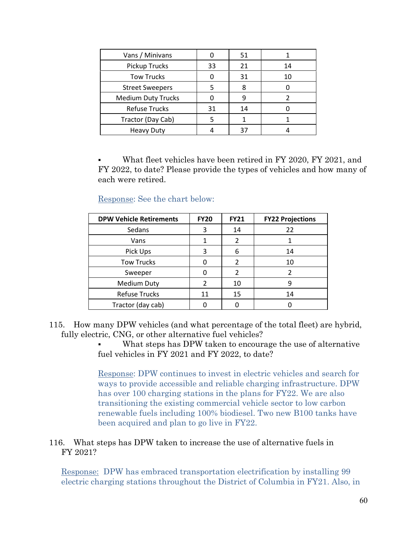| Vans / Minivans           |    | 51 |    |
|---------------------------|----|----|----|
| <b>Pickup Trucks</b>      | 33 | 21 | 14 |
| <b>Tow Trucks</b>         |    | 31 | 10 |
| <b>Street Sweepers</b>    |    | 8  |    |
| <b>Medium Duty Trucks</b> |    |    |    |
| <b>Refuse Trucks</b>      | 31 | 14 |    |
| Tractor (Day Cab)         | 5  |    |    |
| <b>Heavy Duty</b>         |    | 37 |    |

 What fleet vehicles have been retired in FY 2020, FY 2021, and FY 2022, to date? Please provide the types of vehicles and how many of each were retired.

Response: See the chart below:

| <b>DPW Vehicle Retirements</b> | <b>FY20</b> | <b>FY21</b>    | <b>FY22 Projections</b> |
|--------------------------------|-------------|----------------|-------------------------|
| Sedans                         | 3           | 14             | 22                      |
| Vans                           |             | $\mathfrak z$  |                         |
| Pick Ups                       | 3           | 6              | 14                      |
| <b>Tow Trucks</b>              | n           | $\mathfrak{p}$ | 10                      |
| Sweeper                        | O           | 2              |                         |
| <b>Medium Duty</b>             | 2           | 10             | q                       |
| <b>Refuse Trucks</b>           | 11          | 15             | 14                      |
| Tractor (day cab)              |             |                |                         |

115. How many DPW vehicles (and what percentage of the total fleet) are hybrid, fully electric, CNG, or other alternative fuel vehicles?

> What steps has DPW taken to encourage the use of alternative fuel vehicles in FY 2021 and FY 2022, to date?

> Response: DPW continues to invest in electric vehicles and search for ways to provide accessible and reliable charging infrastructure. DPW has over 100 charging stations in the plans for FY22. We are also transitioning the existing commercial vehicle sector to low carbon renewable fuels including 100% biodiesel. Two new B100 tanks have been acquired and plan to go live in FY22.

## 116. What steps has DPW taken to increase the use of alternative fuels in FY 2021?

Response: DPW has embraced transportation electrification by installing 99 electric charging stations throughout the District of Columbia in FY21. Also, in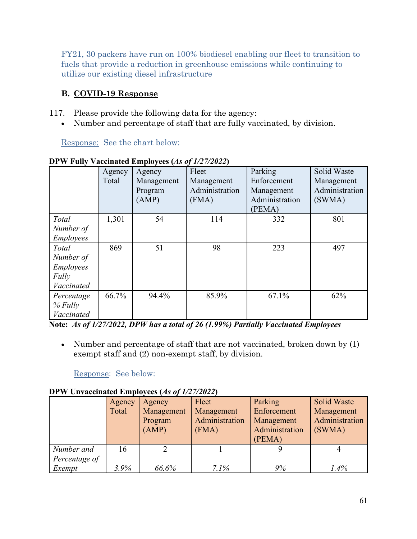FY21, 30 packers have run on 100% biodiesel enabling our fleet to transition to fuels that provide a reduction in greenhouse emissions while continuing to utilize our existing diesel infrastructure

## **B. COVID-19 Response**

117. Please provide the following data for the agency:

• Number and percentage of staff that are fully vaccinated, by division.

Response: See the chart below:

|                  | Agency | Agency     | Fleet          | Parking        | Solid Waste    |
|------------------|--------|------------|----------------|----------------|----------------|
|                  | Total  | Management | Management     | Enforcement    | Management     |
|                  |        | Program    | Administration | Management     | Administration |
|                  |        | (AMP)      | (FMA)          | Administration | (SWMA)         |
|                  |        |            |                | (PEMA)         |                |
| Total            | 1,301  | 54         | 114            | 332            | 801            |
| Number of        |        |            |                |                |                |
| Employees        |        |            |                |                |                |
| Total            | 869    | 51         | 98             | 223            | 497            |
| Number of        |        |            |                |                |                |
| <b>Employees</b> |        |            |                |                |                |
| Fully            |        |            |                |                |                |
| Vaccinated       |        |            |                |                |                |
| Percentage       | 66.7%  | 94.4%      | 85.9%          | 67.1%          | 62%            |
| $%$ Fully        |        |            |                |                |                |
| Vaccinated       |        |            |                |                |                |

**DPW Fully Vaccinated Employees (***As of 1/27/2022***)**

**Note:** *As of 1/27/2022, DPW has a total of 26 (1.99%) Partially Vaccinated Employees*

• Number and percentage of staff that are not vaccinated, broken down by (1) exempt staff and (2) non-exempt staff, by division.

Response: See below:

**DPW Unvaccinated Employees (***As of 1/27/2022***)**

|                             | Agency<br>Total | Agency<br>Management<br>Program<br>(AMP) | Fleet<br>Management<br>Administration<br>(FMA) | Parking<br>Enforcement<br>Management<br>Administration<br>(PEMA) | <b>Solid Waste</b><br>Management<br>Administration<br>(SWMA) |
|-----------------------------|-----------------|------------------------------------------|------------------------------------------------|------------------------------------------------------------------|--------------------------------------------------------------|
| Number and<br>Percentage of | 16              |                                          |                                                |                                                                  |                                                              |
| Exempt                      | $3.9\%$         | 66.6%                                    | 7.1%                                           | 9%                                                               | 1.4%                                                         |